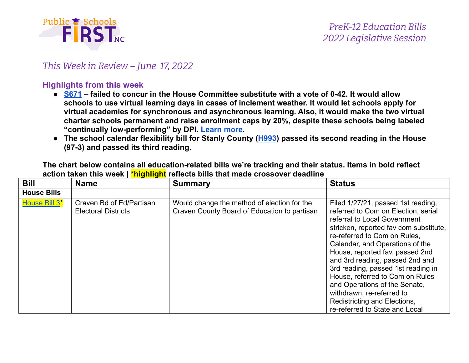

#### *This Week in Review – June 17, 2022*

#### **Highlights from this week**

- $S671$  failed to concur in the House Committee substitute with a vote of 0-42. It would allow **schools to use virtual learning days in cases of inclement weather. It would let schools apply for virtual academies for synchronous and asynchronous learning. Also, it would make the two virtual charter schools permanent and raise enrollment caps by 20%, despite these schools being labeled "continually low-performing" by DPI. [Learn](https://www.wunc.org/news/2022-06-08/proposal-could-end-snow-days-and-expand-virtual-learning-options-for-nc-students) more.**
- The school calendar flexibility bill for Stanly County ([H993\)](https://www.ncleg.gov/BillLookUp/2021/h993) passed its second reading in the House **(97-3) and passed its third reading.**

**The chart below contains all education-related bills we're tracking and their status. Items in bold reflect action taken this week | \*highlight reflects bills that made crossover deadline**

| <b>Bill</b>        | <b>Name</b>                                            | <b>Summary</b>                                                                              | <b>Status</b>                                                                                                                                                                                                                                                                                                                                                                                                                                                                                         |
|--------------------|--------------------------------------------------------|---------------------------------------------------------------------------------------------|-------------------------------------------------------------------------------------------------------------------------------------------------------------------------------------------------------------------------------------------------------------------------------------------------------------------------------------------------------------------------------------------------------------------------------------------------------------------------------------------------------|
| <b>House Bills</b> |                                                        |                                                                                             |                                                                                                                                                                                                                                                                                                                                                                                                                                                                                                       |
| House Bill 3*      | Craven Bd of Ed/Partisan<br><b>Electoral Districts</b> | Would change the method of election for the<br>Craven County Board of Education to partisan | Filed 1/27/21, passed 1st reading,<br>referred to Com on Election, serial<br>referral to Local Government<br>stricken, reported fav com substitute,<br>re-referred to Com on Rules.<br>Calendar, and Operations of the<br>House, reported fav, passed 2nd<br>and 3rd reading, passed 2nd and<br>3rd reading, passed 1st reading in<br>House, referred to Com on Rules<br>and Operations of the Senate,<br>withdrawn, re-referred to<br>Redistricting and Elections,<br>re-referred to State and Local |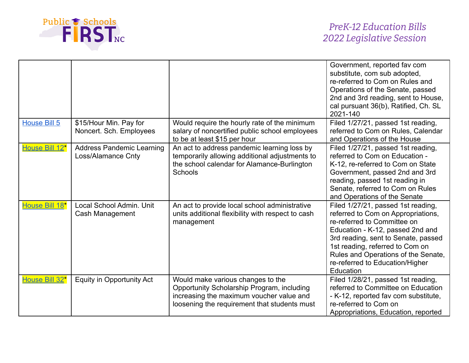

|                     |                                                        |                                                                                                                                                                             | Government, reported fav com<br>substitute, com sub adopted,<br>re-referred to Com on Rules and<br>Operations of the Senate, passed<br>2nd and 3rd reading, sent to House,<br>cal pursuant 36(b), Ratified, Ch. SL<br>2021-140                                                                               |
|---------------------|--------------------------------------------------------|-----------------------------------------------------------------------------------------------------------------------------------------------------------------------------|--------------------------------------------------------------------------------------------------------------------------------------------------------------------------------------------------------------------------------------------------------------------------------------------------------------|
| <b>House Bill 5</b> | \$15/Hour Min. Pay for<br>Noncert. Sch. Employees      | Would require the hourly rate of the minimum<br>salary of noncertified public school employees<br>to be at least \$15 per hour                                              | Filed 1/27/21, passed 1st reading,<br>referred to Com on Rules, Calendar<br>and Operations of the House                                                                                                                                                                                                      |
| House Bill 12*      | <b>Address Pandemic Learning</b><br>Loss/Alamance Cnty | An act to address pandemic learning loss by<br>temporarily allowing additional adjustments to<br>the school calendar for Alamance-Burlington<br>Schools                     | Filed 1/27/21, passed 1st reading,<br>referred to Com on Education -<br>K-12, re-referred to Com on State<br>Government, passed 2nd and 3rd<br>reading, passed 1st reading in<br>Senate, referred to Com on Rules<br>and Operations of the Senate                                                            |
| House Bill 18*      | Local School Admin. Unit<br>Cash Management            | An act to provide local school administrative<br>units additional flexibility with respect to cash<br>management                                                            | Filed 1/27/21, passed 1st reading,<br>referred to Com on Appropriations,<br>re-referred to Committee on<br>Education - K-12, passed 2nd and<br>3rd reading, sent to Senate, passed<br>1st reading, referred to Com on<br>Rules and Operations of the Senate,<br>re-referred to Education/Higher<br>Education |
| House Bill 32*      | <b>Equity in Opportunity Act</b>                       | Would make various changes to the<br>Opportunity Scholarship Program, including<br>increasing the maximum voucher value and<br>loosening the requirement that students must | Filed 1/28/21, passed 1st reading,<br>referred to Committee on Education<br>- K-12, reported fav com substitute,<br>re-referred to Com on<br>Appropriations, Education, reported                                                                                                                             |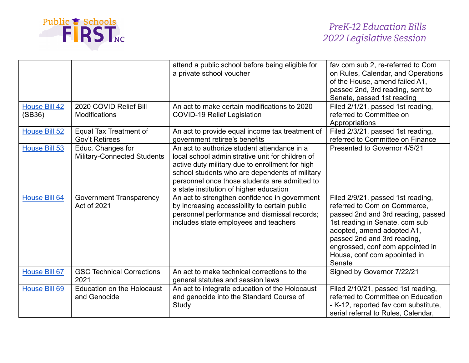

|                                |                                                         | attend a public school before being eligible for<br>a private school voucher                                                                                                                                                                                                                     | fav com sub 2, re-referred to Com<br>on Rules, Calendar, and Operations<br>of the House, amend failed A1,<br>passed 2nd, 3rd reading, sent to<br>Senate, passed 1st reading                                                                                                          |
|--------------------------------|---------------------------------------------------------|--------------------------------------------------------------------------------------------------------------------------------------------------------------------------------------------------------------------------------------------------------------------------------------------------|--------------------------------------------------------------------------------------------------------------------------------------------------------------------------------------------------------------------------------------------------------------------------------------|
| <b>House Bill 42</b><br>(SB36) | 2020 COVID Relief Bill<br><b>Modifications</b>          | An act to make certain modifications to 2020<br><b>COVID-19 Relief Legislation</b>                                                                                                                                                                                                               | Filed 2/1/21, passed 1st reading,<br>referred to Committee on<br>Appropriations                                                                                                                                                                                                      |
| House Bill 52                  | Equal Tax Treatment of<br><b>Gov't Retirees</b>         | An act to provide equal income tax treatment of<br>government retiree's benefits                                                                                                                                                                                                                 | Filed 2/3/21, passed 1st reading,<br>referred to Committee on Finance                                                                                                                                                                                                                |
| <b>House Bill 53</b>           | Educ. Changes for<br><b>Military-Connected Students</b> | An act to authorize student attendance in a<br>local school administrative unit for children of<br>active duty military due to enrollment for high<br>school students who are dependents of military<br>personnel once those students are admitted to<br>a state institution of higher education | Presented to Governor 4/5/21                                                                                                                                                                                                                                                         |
| <b>House Bill 64</b>           | <b>Government Transparency</b><br>Act of 2021           | An act to strengthen confidence in government<br>by increasing accessibility to certain public<br>personnel performance and dismissal records;<br>includes state employees and teachers                                                                                                          | Filed 2/9/21, passed 1st reading,<br>referred to Com on Commerce,<br>passed 2nd and 3rd reading, passed<br>1st reading in Senate, com sub<br>adopted, amend adopted A1,<br>passed 2nd and 3rd reading,<br>engrossed, conf com appointed in<br>House, conf com appointed in<br>Senate |
| House Bill 67                  | <b>GSC Technical Corrections</b><br>2021                | An act to make technical corrections to the<br>general statutes and session laws                                                                                                                                                                                                                 | Signed by Governor 7/22/21                                                                                                                                                                                                                                                           |
| House Bill 69                  | <b>Education on the Holocaust</b><br>and Genocide       | An act to integrate education of the Holocaust<br>and genocide into the Standard Course of<br>Study                                                                                                                                                                                              | Filed 2/10/21, passed 1st reading,<br>referred to Committee on Education<br>- K-12, reported fav com substitute,<br>serial referral to Rules, Calendar,                                                                                                                              |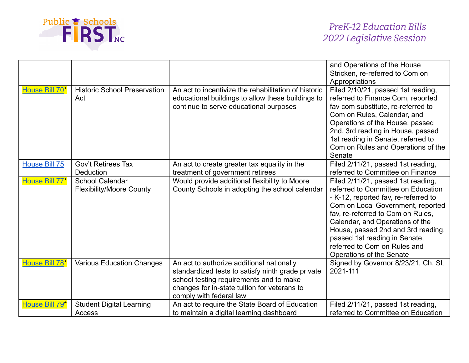

|                |                                                           |                                                                                                                                                                                                                      | and Operations of the House<br>Stricken, re-referred to Com on                                                                                                                                                                                                                                                                                                   |
|----------------|-----------------------------------------------------------|----------------------------------------------------------------------------------------------------------------------------------------------------------------------------------------------------------------------|------------------------------------------------------------------------------------------------------------------------------------------------------------------------------------------------------------------------------------------------------------------------------------------------------------------------------------------------------------------|
|                |                                                           |                                                                                                                                                                                                                      | Appropriations                                                                                                                                                                                                                                                                                                                                                   |
| House Bill 70* | <b>Historic School Preservation</b><br>Act                | An act to incentivize the rehabilitation of historic<br>educational buildings to allow these buildings to<br>continue to serve educational purposes                                                                  | Filed 2/10/21, passed 1st reading,<br>referred to Finance Com, reported<br>fav com substitute, re-referred to<br>Com on Rules, Calendar, and<br>Operations of the House, passed<br>2nd, 3rd reading in House, passed<br>1st reading in Senate, referred to<br>Com on Rules and Operations of the<br>Senate                                                       |
| House Bill 75  | <b>Gov't Retirees Tax</b><br>Deduction                    | An act to create greater tax equality in the<br>treatment of government retirees                                                                                                                                     | Filed 2/11/21, passed 1st reading,<br>referred to Committee on Finance                                                                                                                                                                                                                                                                                           |
| House Bill 77* | <b>School Calendar</b><br><b>Flexibility/Moore County</b> | Would provide additional flexibility to Moore<br>County Schools in adopting the school calendar                                                                                                                      | Filed 2/11/21, passed 1st reading,<br>referred to Committee on Education<br>- K-12, reported fav, re-referred to<br>Com on Local Government, reported<br>fav, re-referred to Com on Rules,<br>Calendar, and Operations of the<br>House, passed 2nd and 3rd reading,<br>passed 1st reading in Senate,<br>referred to Com on Rules and<br>Operations of the Senate |
| House Bill 78* | <b>Various Education Changes</b>                          | An act to authorize additional nationally<br>standardized tests to satisfy ninth grade private<br>school testing requirements and to make<br>changes for in-state tuition for veterans to<br>comply with federal law | Signed by Governor 8/23/21, Ch. SL<br>2021-111                                                                                                                                                                                                                                                                                                                   |
| House Bill 79* | <b>Student Digital Learning</b><br>Access                 | An act to require the State Board of Education<br>to maintain a digital learning dashboard                                                                                                                           | Filed 2/11/21, passed 1st reading,<br>referred to Committee on Education                                                                                                                                                                                                                                                                                         |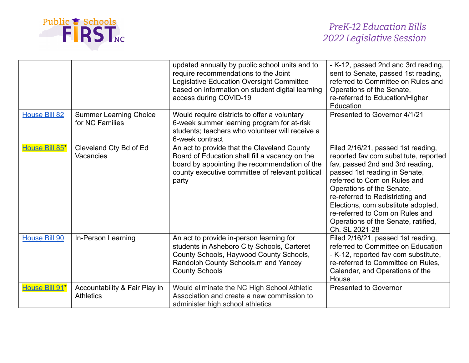

|                      |                                                   | updated annually by public school units and to<br>require recommendations to the Joint<br>Legislative Education Oversight Committee<br>based on information on student digital learning<br>access during COVID-19 | - K-12, passed 2nd and 3rd reading,<br>sent to Senate, passed 1st reading,<br>referred to Committee on Rules and<br>Operations of the Senate,<br>re-referred to Education/Higher<br>Education                                                                                                                                                                                       |
|----------------------|---------------------------------------------------|-------------------------------------------------------------------------------------------------------------------------------------------------------------------------------------------------------------------|-------------------------------------------------------------------------------------------------------------------------------------------------------------------------------------------------------------------------------------------------------------------------------------------------------------------------------------------------------------------------------------|
| <b>House Bill 82</b> | <b>Summer Learning Choice</b><br>for NC Families  | Would require districts to offer a voluntary<br>6-week summer learning program for at-risk<br>students; teachers who volunteer will receive a<br>6-week contract                                                  | Presented to Governor 4/1/21                                                                                                                                                                                                                                                                                                                                                        |
| House Bill 85*       | Cleveland Cty Bd of Ed<br>Vacancies               | An act to provide that the Cleveland County<br>Board of Education shall fill a vacancy on the<br>board by appointing the recommendation of the<br>county executive committee of relevant political<br>party       | Filed 2/16/21, passed 1st reading,<br>reported fav com substitute, reported<br>fav, passed 2nd and 3rd reading,<br>passed 1st reading in Senate,<br>referred to Com on Rules and<br>Operations of the Senate,<br>re-referred to Redistricting and<br>Elections, com substitute adopted,<br>re-referred to Com on Rules and<br>Operations of the Senate, ratified,<br>Ch. SL 2021-28 |
| <b>House Bill 90</b> | In-Person Learning                                | An act to provide in-person learning for<br>students in Asheboro City Schools, Carteret<br>County Schools, Haywood County Schools,<br>Randolph County Schools, m and Yancey<br><b>County Schools</b>              | Filed 2/16/21, passed 1st reading,<br>referred to Committee on Education<br>- K-12, reported fav com substitute,<br>re-referred to Committee on Rules,<br>Calendar, and Operations of the<br>House                                                                                                                                                                                  |
| House Bill 91*       | Accountability & Fair Play in<br><b>Athletics</b> | Would eliminate the NC High School Athletic<br>Association and create a new commission to<br>administer high school athletics                                                                                     | <b>Presented to Governor</b>                                                                                                                                                                                                                                                                                                                                                        |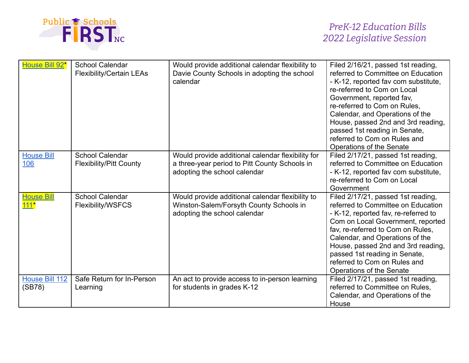

| House Bill 92*              | <b>School Calendar</b><br><b>Flexibility/Certain LEAs</b> | Would provide additional calendar flexibility to<br>Davie County Schools in adopting the school<br>calendar                        | Filed 2/16/21, passed 1st reading,<br>referred to Committee on Education<br>- K-12, reported fav com substitute,<br>re-referred to Com on Local<br>Government, reported fav,<br>re-referred to Com on Rules.<br>Calendar, and Operations of the<br>House, passed 2nd and 3rd reading,<br>passed 1st reading in Senate,<br>referred to Com on Rules and<br>Operations of the Senate |
|-----------------------------|-----------------------------------------------------------|------------------------------------------------------------------------------------------------------------------------------------|------------------------------------------------------------------------------------------------------------------------------------------------------------------------------------------------------------------------------------------------------------------------------------------------------------------------------------------------------------------------------------|
| <b>House Bill</b><br>106    | <b>School Calendar</b><br><b>Flexibility/Pitt County</b>  | Would provide additional calendar flexibility for<br>a three-year period to Pitt County Schools in<br>adopting the school calendar | Filed 2/17/21, passed 1st reading,<br>referred to Committee on Education<br>- K-12, reported fav com substitute,<br>re-referred to Com on Local<br>Government                                                                                                                                                                                                                      |
| <b>House Bill</b><br>$111*$ | <b>School Calendar</b><br>Flexibility/WSFCS               | Would provide additional calendar flexibility to<br>Winston-Salem/Forsyth County Schools in<br>adopting the school calendar        | Filed 2/17/21, passed 1st reading,<br>referred to Committee on Education<br>- K-12, reported fav, re-referred to<br>Com on Local Government, reported<br>fav, re-referred to Com on Rules,<br>Calendar, and Operations of the<br>House, passed 2nd and 3rd reading,<br>passed 1st reading in Senate,<br>referred to Com on Rules and<br>Operations of the Senate                   |
| House Bill 112<br>(SB78)    | Safe Return for In-Person<br>Learning                     | An act to provide access to in-person learning<br>for students in grades K-12                                                      | Filed 2/17/21, passed 1st reading,<br>referred to Committee on Rules,<br>Calendar, and Operations of the<br>House                                                                                                                                                                                                                                                                  |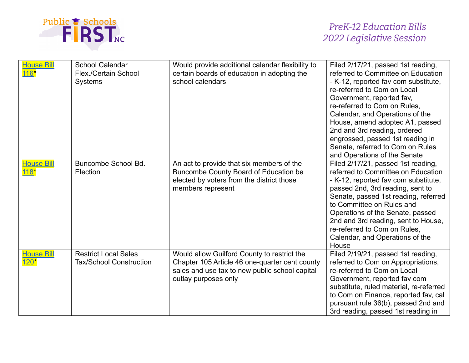

| <b>House Bill</b>         | <b>School Calendar</b><br>Flex./Certain School<br><b>Systems</b> | Would provide additional calendar flexibility to<br>certain boards of education in adopting the<br>school calendars                                                     | Filed 2/17/21, passed 1st reading,<br>referred to Committee on Education<br>- K-12, reported fav com substitute,<br>re-referred to Com on Local<br>Government, reported fav,<br>re-referred to Com on Rules,<br>Calendar, and Operations of the<br>House, amend adopted A1, passed<br>2nd and 3rd reading, ordered<br>engrossed, passed 1st reading in<br>Senate, referred to Com on Rules<br>and Operations of the Senate |
|---------------------------|------------------------------------------------------------------|-------------------------------------------------------------------------------------------------------------------------------------------------------------------------|----------------------------------------------------------------------------------------------------------------------------------------------------------------------------------------------------------------------------------------------------------------------------------------------------------------------------------------------------------------------------------------------------------------------------|
| <b>House Bill</b><br>118* | Buncombe School Bd.<br>Election                                  | An act to provide that six members of the<br>Buncombe County Board of Education be<br>elected by voters from the district those<br>members represent                    | Filed 2/17/21, passed 1st reading,<br>referred to Committee on Education<br>- K-12, reported fav com substitute,<br>passed 2nd, 3rd reading, sent to<br>Senate, passed 1st reading, referred<br>to Committee on Rules and<br>Operations of the Senate, passed<br>2nd and 3rd reading, sent to House,<br>re-referred to Com on Rules,<br>Calendar, and Operations of the<br>House                                           |
| <b>House Bill</b>         | <b>Restrict Local Sales</b><br><b>Tax/School Construction</b>    | Would allow Guilford County to restrict the<br>Chapter 105 Article 46 one-quarter cent county<br>sales and use tax to new public school capital<br>outlay purposes only | Filed 2/19/21, passed 1st reading,<br>referred to Com on Appropriations,<br>re-referred to Com on Local<br>Government, reported fav com<br>substitute, ruled material, re-referred<br>to Com on Finance, reported fav, cal<br>pursuant rule 36(b), passed 2nd and<br>3rd reading, passed 1st reading in                                                                                                                    |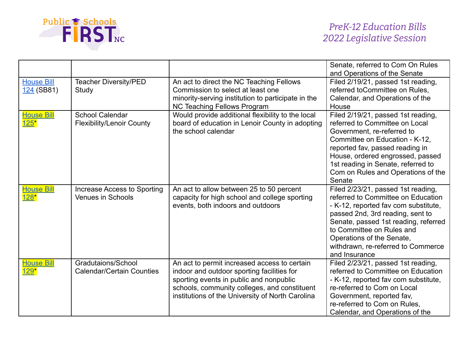

|                                    |                                                            |                                                                                                                                                                                                                                           | Senate, referred to Com On Rules<br>and Operations of the Senate                                                                                                                                                                                                                                              |
|------------------------------------|------------------------------------------------------------|-------------------------------------------------------------------------------------------------------------------------------------------------------------------------------------------------------------------------------------------|---------------------------------------------------------------------------------------------------------------------------------------------------------------------------------------------------------------------------------------------------------------------------------------------------------------|
| <b>House Bill</b><br>124 (SB81)    | <b>Teacher Diversity/PED</b><br>Study                      | An act to direct the NC Teaching Fellows<br>Commission to select at least one<br>minority-serving institution to participate in the<br><b>NC Teaching Fellows Program</b>                                                                 | Filed 2/19/21, passed 1st reading,<br>referred toCommittee on Rules,<br>Calendar, and Operations of the<br>House                                                                                                                                                                                              |
| <b>House Bill</b><br>125"          | <b>School Calendar</b><br><b>Flexibility/Lenoir County</b> | Would provide additional flexibility to the local<br>board of education in Lenoir County in adopting<br>the school calendar                                                                                                               | Filed 2/19/21, passed 1st reading,<br>referred to Committee on Local<br>Government, re-referred to<br>Committee on Education - K-12,<br>reported fav, passed reading in<br>House, ordered engrossed, passed<br>1st reading in Senate, referred to<br>Com on Rules and Operations of the<br>Senate             |
| <b>House Bill</b><br><u> 128  </u> | Increase Access to Sporting<br><b>Venues in Schools</b>    | An act to allow between 25 to 50 percent<br>capacity for high school and college sporting<br>events, both indoors and outdoors                                                                                                            | Filed 2/23/21, passed 1st reading,<br>referred to Committee on Education<br>- K-12, reported fav com substitute,<br>passed 2nd, 3rd reading, sent to<br>Senate, passed 1st reading, referred<br>to Committee on Rules and<br>Operations of the Senate,<br>withdrawn, re-referred to Commerce<br>and Insurance |
| <b>House Bill</b><br>$129*$        | Gradutaions/School<br><b>Calendar/Certain Counties</b>     | An act to permit increased access to certain<br>indoor and outdoor sporting facilities for<br>sporting events in public and nonpublic<br>schools, community colleges, and constituent<br>institutions of the University of North Carolina | Filed 2/23/21, passed 1st reading,<br>referred to Committee on Education<br>- K-12, reported fav com substitute,<br>re-referred to Com on Local<br>Government, reported fav,<br>re-referred to Com on Rules,<br>Calendar, and Operations of the                                                               |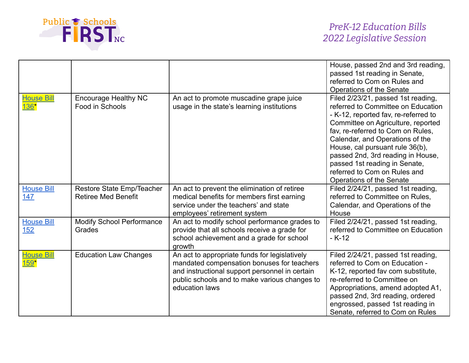

|                                    |                                                         |                                                                                                                                                                                                                  | House, passed 2nd and 3rd reading,<br>passed 1st reading in Senate,<br>referred to Com on Rules and<br>Operations of the Senate                                                                                                                                                                                                                                                                     |
|------------------------------------|---------------------------------------------------------|------------------------------------------------------------------------------------------------------------------------------------------------------------------------------------------------------------------|-----------------------------------------------------------------------------------------------------------------------------------------------------------------------------------------------------------------------------------------------------------------------------------------------------------------------------------------------------------------------------------------------------|
| <b>House Bill</b><br>136"          | <b>Encourage Healthy NC</b><br>Food in Schools          | An act to promote muscadine grape juice<br>usage in the state's learning institutions                                                                                                                            | Filed 2/23/21, passed 1st reading,<br>referred to Committee on Education<br>- K-12, reported fav, re-referred to<br>Committee on Agriculture, reported<br>fav, re-referred to Com on Rules,<br>Calendar, and Operations of the<br>House, cal pursuant rule 36(b),<br>passed 2nd, 3rd reading in House,<br>passed 1st reading in Senate,<br>referred to Com on Rules and<br>Operations of the Senate |
| <b>House Bill</b><br>147           | Restore State Emp/Teacher<br><b>Retiree Med Benefit</b> | An act to prevent the elimination of retiree<br>medical benefits for members first earning<br>service under the teachers' and state<br>employees' retirement system                                              | Filed 2/24/21, passed 1st reading,<br>referred to Committee on Rules.<br>Calendar, and Operations of the<br>House                                                                                                                                                                                                                                                                                   |
| <b>House Bill</b><br>152           | <b>Modify School Performance</b><br>Grades              | An act to modify school performance grades to<br>provide that all schools receive a grade for<br>school achievement and a grade for school<br>growth                                                             | Filed 2/24/21, passed 1st reading,<br>referred to Committee on Education<br>$-K-12$                                                                                                                                                                                                                                                                                                                 |
| <b>House Bill</b><br><u> 1591 </u> | <b>Education Law Changes</b>                            | An act to appropriate funds for legislatively<br>mandated compensation bonuses for teachers<br>and instructional support personnel in certain<br>public schools and to make various changes to<br>education laws | Filed 2/24/21, passed 1st reading,<br>referred to Com on Education -<br>K-12, reported fav com substitute,<br>re-referred to Committee on<br>Appropriations, amend adopted A1,<br>passed 2nd, 3rd reading, ordered<br>engrossed, passed 1st reading in<br>Senate, referred to Com on Rules                                                                                                          |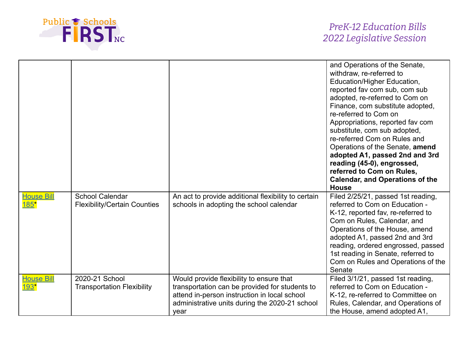

|                                  |                                                               |                                                                                                                                                                                                      | and Operations of the Senate,<br>withdraw, re-referred to<br>Education/Higher Education,<br>reported fav com sub, com sub<br>adopted, re-referred to Com on<br>Finance, com substitute adopted,<br>re-referred to Com on<br>Appropriations, reported fav com<br>substitute, com sub adopted,<br>re-referred Com on Rules and<br>Operations of the Senate, amend<br>adopted A1, passed 2nd and 3rd<br>reading (45-0), engrossed,<br>referred to Com on Rules,<br><b>Calendar, and Operations of the</b><br><b>House</b> |
|----------------------------------|---------------------------------------------------------------|------------------------------------------------------------------------------------------------------------------------------------------------------------------------------------------------------|------------------------------------------------------------------------------------------------------------------------------------------------------------------------------------------------------------------------------------------------------------------------------------------------------------------------------------------------------------------------------------------------------------------------------------------------------------------------------------------------------------------------|
| <b>House Bill</b><br>$185*$      | <b>School Calendar</b><br><b>Flexibility/Certain Counties</b> | An act to provide additional flexibility to certain<br>schools in adopting the school calendar                                                                                                       | Filed 2/25/21, passed 1st reading,<br>referred to Com on Education -<br>K-12, reported fav, re-referred to<br>Com on Rules, Calendar, and<br>Operations of the House, amend<br>adopted A1, passed 2nd and 3rd<br>reading, ordered engrossed, passed<br>1st reading in Senate, referred to<br>Com on Rules and Operations of the<br>Senate                                                                                                                                                                              |
| <u>House Bil</u><br><u> 193*</u> | 2020-21 School<br><b>Transportation Flexibility</b>           | Would provide flexibility to ensure that<br>transportation can be provided for students to<br>attend in-person instruction in local school<br>administrative units during the 2020-21 school<br>year | Filed 3/1/21, passed 1st reading,<br>referred to Com on Education -<br>K-12, re-referred to Committee on<br>Rules, Calendar, and Operations of<br>the House, amend adopted A1,                                                                                                                                                                                                                                                                                                                                         |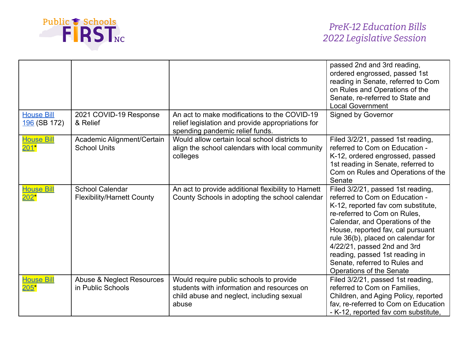

|                                   |                                                             |                                                                                                                                             | passed 2nd and 3rd reading,<br>ordered engrossed, passed 1st<br>reading in Senate, referred to Com<br>on Rules and Operations of the<br>Senate, re-referred to State and<br><b>Local Government</b>                                                                                                                                                                                   |
|-----------------------------------|-------------------------------------------------------------|---------------------------------------------------------------------------------------------------------------------------------------------|---------------------------------------------------------------------------------------------------------------------------------------------------------------------------------------------------------------------------------------------------------------------------------------------------------------------------------------------------------------------------------------|
| <b>House Bill</b><br>196 (SB 172) | 2021 COVID-19 Response<br>& Relief                          | An act to make modifications to the COVID-19<br>relief legislation and provide appropriations for<br>spending pandemic relief funds.        | Signed by Governor                                                                                                                                                                                                                                                                                                                                                                    |
| <b>House Bill</b><br>$201*$       | Academic Alignment/Certain<br><b>School Units</b>           | Would allow certain local school districts to<br>align the school calendars with local community<br>colleges                                | Filed 3/2/21, passed 1st reading,<br>referred to Com on Education -<br>K-12, ordered engrossed, passed<br>1st reading in Senate, referred to<br>Com on Rules and Operations of the<br>Senate                                                                                                                                                                                          |
| <b>House Bill</b><br>$202*$       | <b>School Calendar</b><br><b>Flexibility/Harnett County</b> | An act to provide additional flexibility to Harnett<br>County Schools in adopting the school calendar                                       | Filed 3/2/21, passed 1st reading,<br>referred to Com on Education -<br>K-12, reported fav com substitute,<br>re-referred to Com on Rules,<br>Calendar, and Operations of the<br>House, reported fav, cal pursuant<br>rule 36(b), placed on calendar for<br>4/22/21, passed 2nd and 3rd<br>reading, passed 1st reading in<br>Senate, referred to Rules and<br>Operations of the Senate |
| <b>House Bill</b><br>$205*$       | Abuse & Neglect Resources<br>in Public Schools              | Would require public schools to provide<br>students with information and resources on<br>child abuse and neglect, including sexual<br>abuse | Filed 3/2/21, passed 1st reading,<br>referred to Com on Families,<br>Children, and Aging Policy, reported<br>fav, re-referred to Com on Education<br>- K-12, reported fav com substitute,                                                                                                                                                                                             |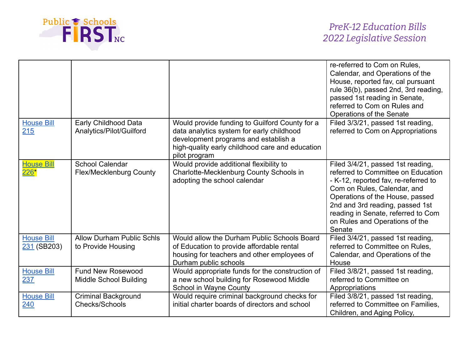

|                                  |                                                           |                                                                                                                                                                                                         | re-referred to Com on Rules.<br>Calendar, and Operations of the<br>House, reported fav, cal pursuant<br>rule 36(b), passed 2nd, 3rd reading,<br>passed 1st reading in Senate,<br>referred to Com on Rules and<br>Operations of the Senate                                                              |
|----------------------------------|-----------------------------------------------------------|---------------------------------------------------------------------------------------------------------------------------------------------------------------------------------------------------------|--------------------------------------------------------------------------------------------------------------------------------------------------------------------------------------------------------------------------------------------------------------------------------------------------------|
| <b>House Bill</b><br>215         | Early Childhood Data<br>Analytics/Pilot/Guilford          | Would provide funding to Guilford County for a<br>data analytics system for early childhood<br>development programs and establish a<br>high-quality early childhood care and education<br>pilot program | Filed 3/3/21, passed 1st reading,<br>referred to Com on Appropriations                                                                                                                                                                                                                                 |
| <b>House Bill</b><br>$226*$      | <b>School Calendar</b><br><b>Flex/Mecklenburg County</b>  | Would provide additional flexibility to<br>Charlotte-Mecklenburg County Schools in<br>adopting the school calendar                                                                                      | Filed 3/4/21, passed 1st reading,<br>referred to Committee on Education<br>- K-12, reported fav, re-referred to<br>Com on Rules, Calendar, and<br>Operations of the House, passed<br>2nd and 3rd reading, passed 1st<br>reading in Senate, referred to Com<br>on Rules and Operations of the<br>Senate |
| <b>House Bill</b><br>231 (SB203) | <b>Allow Durham Public Schls</b><br>to Provide Housing    | Would allow the Durham Public Schools Board<br>of Education to provide affordable rental<br>housing for teachers and other employees of<br>Durham public schools                                        | Filed 3/4/21, passed 1st reading,<br>referred to Committee on Rules,<br>Calendar, and Operations of the<br>House                                                                                                                                                                                       |
| <b>House Bill</b><br>237         | <b>Fund New Rosewood</b><br><b>Middle School Building</b> | Would appropriate funds for the construction of<br>a new school building for Rosewood Middle<br>School in Wayne County                                                                                  | Filed 3/8/21, passed 1st reading,<br>referred to Committee on<br>Appropriations                                                                                                                                                                                                                        |
| <b>House Bill</b><br>240         | <b>Criminal Background</b><br>Checks/Schools              | Would require criminal background checks for<br>initial charter boards of directors and school                                                                                                          | Filed 3/8/21, passed 1st reading,<br>referred to Committee on Families.<br>Children, and Aging Policy,                                                                                                                                                                                                 |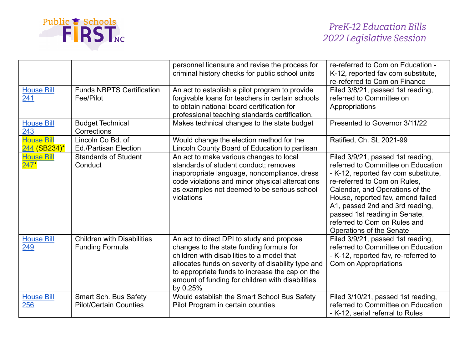

|                                   |                                                             | personnel licensure and revise the process for<br>criminal history checks for public school units                                                                                                                                                                                                            | re-referred to Com on Education -<br>K-12, reported fav com substitute,<br>re-referred to Com on Finance                                                                                                                                                                                                                                                |
|-----------------------------------|-------------------------------------------------------------|--------------------------------------------------------------------------------------------------------------------------------------------------------------------------------------------------------------------------------------------------------------------------------------------------------------|---------------------------------------------------------------------------------------------------------------------------------------------------------------------------------------------------------------------------------------------------------------------------------------------------------------------------------------------------------|
| <b>House Bill</b><br>241          | <b>Funds NBPTS Certification</b><br>Fee/Pilot               | An act to establish a pilot program to provide<br>forgivable loans for teachers in certain schools<br>to obtain national board certification for<br>professional teaching standards certification.                                                                                                           | Filed 3/8/21, passed 1st reading,<br>referred to Committee on<br>Appropriations                                                                                                                                                                                                                                                                         |
| <b>House Bill</b><br>243          | <b>Budget Technical</b><br>Corrections                      | Makes technical changes to the state budget                                                                                                                                                                                                                                                                  | Presented to Governor 3/11/22                                                                                                                                                                                                                                                                                                                           |
| <b>House Bill</b><br>244 (SB234)* | Lincoln Co Bd. of<br><b>Ed./Partisan Election</b>           | Would change the election method for the<br>Lincoln County Board of Education to partisan                                                                                                                                                                                                                    | Ratified, Ch. SL 2021-99                                                                                                                                                                                                                                                                                                                                |
| <b>House Bill</b><br>$247*$       | <b>Standards of Student</b><br>Conduct                      | An act to make various changes to local<br>standards of student conduct; removes<br>inappropriate language, noncompliance, dress<br>code violations and minor physical altercations<br>as examples not deemed to be serious school<br>violations                                                             | Filed 3/9/21, passed 1st reading,<br>referred to Committee on Education<br>- K-12, reported fav com substitute,<br>re-referred to Com on Rules,<br>Calendar, and Operations of the<br>House, reported fav, amend failed<br>A1, passed 2nd and 3rd reading,<br>passed 1st reading in Senate,<br>referred to Com on Rules and<br>Operations of the Senate |
| <b>House Bill</b><br>249          | <b>Children with Disabilities</b><br><b>Funding Formula</b> | An act to direct DPI to study and propose<br>changes to the state funding formula for<br>children with disabilities to a model that<br>allocates funds on severity of disability type and<br>to appropriate funds to increase the cap on the<br>amount of funding for children with disabilities<br>by 0.25% | Filed 3/9/21, passed 1st reading,<br>referred to Committee on Education<br>- K-12, reported fav, re-referred to<br>Com on Appropriations                                                                                                                                                                                                                |
| <b>House Bill</b><br>256          | Smart Sch. Bus Safety<br><b>Pilot/Certain Counties</b>      | Would establish the Smart School Bus Safety<br>Pilot Program in certain counties                                                                                                                                                                                                                             | Filed 3/10/21, passed 1st reading,<br>referred to Committee on Education<br>- K-12, serial referral to Rules                                                                                                                                                                                                                                            |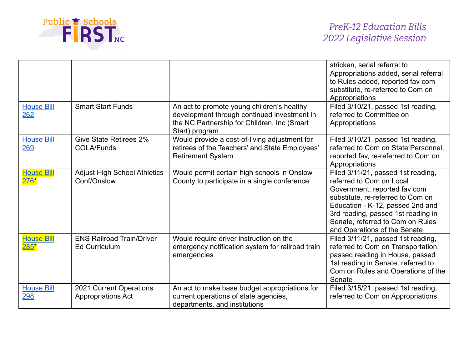

|                                    |                                                          |                                                                                                                                                            | stricken, serial referral to<br>Appropriations added, serial referral<br>to Rules added, reported fav com<br>substitute, re-referred to Com on<br>Appropriations                                                                                                                  |
|------------------------------------|----------------------------------------------------------|------------------------------------------------------------------------------------------------------------------------------------------------------------|-----------------------------------------------------------------------------------------------------------------------------------------------------------------------------------------------------------------------------------------------------------------------------------|
| <b>House Bill</b><br>262           | <b>Smart Start Funds</b>                                 | An act to promote young children's healthy<br>development through continued investment in<br>the NC Partnership for Children, Inc (Smart<br>Start) program | Filed 3/10/21, passed 1st reading,<br>referred to Committee on<br>Appropriations                                                                                                                                                                                                  |
| <b>House Bill</b><br>269           | <b>Give State Retirees 2%</b><br><b>COLA/Funds</b>       | Would provide a cost-of-living adjustment for<br>retirees of the Teachers' and State Employees'<br><b>Retirement System</b>                                | Filed 3/10/21, passed 1st reading,<br>referred to Com on State Personnel.<br>reported fav, re-referred to Com on<br>Appropriations                                                                                                                                                |
| <b>House Bill</b><br>276*          | <b>Adjust High School Athletics</b><br>Conf/Onslow       | Would permit certain high schools in Onslow<br>County to participate in a single conference                                                                | Filed 3/11/21, passed 1st reading,<br>referred to Com on Local<br>Government, reported fav com<br>substitute, re-referred to Com on<br>Education - K-12, passed 2nd and<br>3rd reading, passed 1st reading in<br>Senate, referred to Com on Rules<br>and Operations of the Senate |
| <b>House Bill</b><br>$285^{\star}$ | <b>ENS Railroad Train/Driver</b><br><b>Ed Curriculum</b> | Would require driver instruction on the<br>emergency notification system for railroad train<br>emergencies                                                 | Filed 3/11/21, passed 1st reading,<br>referred to Com on Transportation,<br>passed reading in House, passed<br>1st reading in Senate, referred to<br>Com on Rules and Operations of the<br>Senate                                                                                 |
| <b>House Bill</b><br><u>298</u>    | 2021 Current Operations<br><b>Appropriations Act</b>     | An act to make base budget appropriations for<br>current operations of state agencies,<br>departments, and institutions                                    | Filed 3/15/21, passed 1st reading,<br>referred to Com on Appropriations                                                                                                                                                                                                           |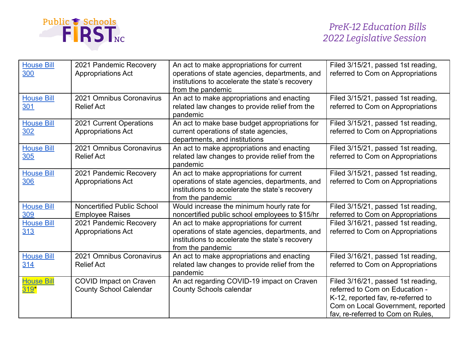

| <b>House Bill</b><br>300    | 2021 Pandemic Recovery<br><b>Appropriations Act</b>            | An act to make appropriations for current<br>operations of state agencies, departments, and<br>institutions to accelerate the state's recovery<br>from the pandemic | Filed 3/15/21, passed 1st reading,<br>referred to Com on Appropriations                                                                                                              |
|-----------------------------|----------------------------------------------------------------|---------------------------------------------------------------------------------------------------------------------------------------------------------------------|--------------------------------------------------------------------------------------------------------------------------------------------------------------------------------------|
| <b>House Bill</b><br>301    | 2021 Omnibus Coronavirus<br><b>Relief Act</b>                  | An act to make appropriations and enacting<br>related law changes to provide relief from the<br>pandemic                                                            | Filed 3/15/21, passed 1st reading,<br>referred to Com on Appropriations                                                                                                              |
| <b>House Bill</b><br>302    | 2021 Current Operations<br><b>Appropriations Act</b>           | An act to make base budget appropriations for<br>current operations of state agencies,<br>departments, and institutions                                             | Filed 3/15/21, passed 1st reading,<br>referred to Com on Appropriations                                                                                                              |
| <b>House Bill</b><br>305    | 2021 Omnibus Coronavirus<br><b>Relief Act</b>                  | An act to make appropriations and enacting<br>related law changes to provide relief from the<br>pandemic                                                            | Filed 3/15/21, passed 1st reading,<br>referred to Com on Appropriations                                                                                                              |
| <b>House Bill</b><br>306    | 2021 Pandemic Recovery<br><b>Appropriations Act</b>            | An act to make appropriations for current<br>operations of state agencies, departments, and<br>institutions to accelerate the state's recovery<br>from the pandemic | Filed 3/15/21, passed 1st reading,<br>referred to Com on Appropriations                                                                                                              |
| <b>House Bill</b><br>309    | Noncertified Public School<br><b>Employee Raises</b>           | Would increase the minimum hourly rate for<br>noncertified public school employees to \$15/hr                                                                       | Filed 3/15/21, passed 1st reading,<br>referred to Com on Appropriations                                                                                                              |
| <b>House Bill</b><br>313    | 2021 Pandemic Recovery<br><b>Appropriations Act</b>            | An act to make appropriations for current<br>operations of state agencies, departments, and<br>institutions to accelerate the state's recovery<br>from the pandemic | Filed 3/16/21, passed 1st reading,<br>referred to Com on Appropriations                                                                                                              |
| <b>House Bill</b><br>314    | 2021 Omnibus Coronavirus<br><b>Relief Act</b>                  | An act to make appropriations and enacting<br>related law changes to provide relief from the<br>pandemic                                                            | Filed 3/16/21, passed 1st reading,<br>referred to Com on Appropriations                                                                                                              |
| <b>House Bill</b><br>$319*$ | <b>COVID Impact on Craven</b><br><b>County School Calendar</b> | An act regarding COVID-19 impact on Craven<br><b>County Schools calendar</b>                                                                                        | Filed 3/16/21, passed 1st reading,<br>referred to Com on Education -<br>K-12, reported fav, re-referred to<br>Com on Local Government, reported<br>fav, re-referred to Com on Rules, |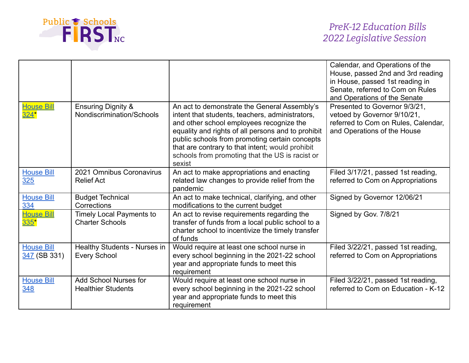

|                                   |                                                            |                                                                                                                                                                                                                                                                                                                                                                      | Calendar, and Operations of the<br>House, passed 2nd and 3rd reading<br>in House, passed 1st reading in<br>Senate, referred to Com on Rules<br>and Operations of the Senate |
|-----------------------------------|------------------------------------------------------------|----------------------------------------------------------------------------------------------------------------------------------------------------------------------------------------------------------------------------------------------------------------------------------------------------------------------------------------------------------------------|-----------------------------------------------------------------------------------------------------------------------------------------------------------------------------|
| <b>House Bill</b><br>$324*$       | <b>Ensuring Dignity &amp;</b><br>Nondiscrimination/Schools | An act to demonstrate the General Assembly's<br>intent that students, teachers, administrators,<br>and other school employees recognize the<br>equality and rights of all persons and to prohibit<br>public schools from promoting certain concepts<br>that are contrary to that intent; would prohibit<br>schools from promoting that the US is racist or<br>sexist | Presented to Governor 9/3/21,<br>vetoed by Governor 9/10/21,<br>referred to Com on Rules, Calendar,<br>and Operations of the House                                          |
| <b>House Bill</b><br><u>325</u>   | 2021 Omnibus Coronavirus<br><b>Relief Act</b>              | An act to make appropriations and enacting<br>related law changes to provide relief from the<br>pandemic                                                                                                                                                                                                                                                             | Filed 3/17/21, passed 1st reading,<br>referred to Com on Appropriations                                                                                                     |
| <b>House Bill</b><br>334          | <b>Budget Technical</b><br>Corrections                     | An act to make technical, clarifying, and other<br>modifications to the current budget                                                                                                                                                                                                                                                                               | Signed by Governor 12/06/21                                                                                                                                                 |
| <b>House Bill</b><br>335"         | <b>Timely Local Payments to</b><br><b>Charter Schools</b>  | An act to revise requirements regarding the<br>transfer of funds from a local public school to a<br>charter school to incentivize the timely transfer<br>of funds                                                                                                                                                                                                    | Signed by Gov. 7/8/21                                                                                                                                                       |
| <b>House Bill</b><br>347 (SB 331) | Healthy Students - Nurses in<br><b>Every School</b>        | Would require at least one school nurse in<br>every school beginning in the 2021-22 school<br>year and appropriate funds to meet this<br>requirement                                                                                                                                                                                                                 | Filed 3/22/21, passed 1st reading,<br>referred to Com on Appropriations                                                                                                     |
| <b>House Bill</b><br>348          | <b>Add School Nurses for</b><br><b>Healthier Students</b>  | Would require at least one school nurse in<br>every school beginning in the 2021-22 school<br>year and appropriate funds to meet this<br>requirement                                                                                                                                                                                                                 | Filed 3/22/21, passed 1st reading,<br>referred to Com on Education - K-12                                                                                                   |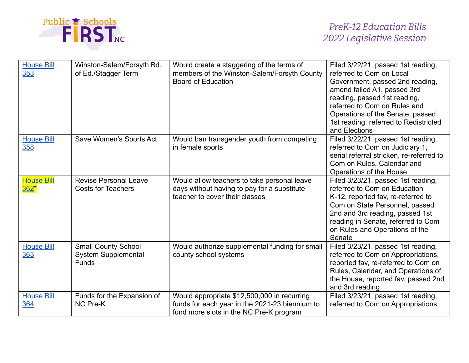

| <b>House Bill</b><br>353              | Winston-Salem/Forsyth Bd.<br>of Ed./Stagger Term                         | Would create a staggering of the terms of<br>members of the Winston-Salem/Forsyth County<br><b>Board of Education</b>                    | Filed 3/22/21, passed 1st reading,<br>referred to Com on Local<br>Government, passed 2nd reading,<br>amend failed A1, passed 3rd<br>reading, passed 1st reading,<br>referred to Com on Rules and<br>Operations of the Senate, passed<br>1st reading, referred to Redistricted<br>and Elections |
|---------------------------------------|--------------------------------------------------------------------------|------------------------------------------------------------------------------------------------------------------------------------------|------------------------------------------------------------------------------------------------------------------------------------------------------------------------------------------------------------------------------------------------------------------------------------------------|
| <b>House Bill</b><br>358              | Save Women's Sports Act                                                  | Would ban transgender youth from competing<br>in female sports                                                                           | Filed 3/22/21, passed 1st reading,<br>referred to Com on Judiciary 1,<br>serial referral stricken, re-referred to<br>Com on Rules, Calendar and<br>Operations of the House                                                                                                                     |
| <b>House Bill</b><br>362 <sup>*</sup> | <b>Revise Personal Leave</b><br><b>Costs for Teachers</b>                | Would allow teachers to take personal leave<br>days without having to pay for a substitute<br>teacher to cover their classes             | Filed 3/23/21, passed 1st reading,<br>referred to Com on Education -<br>K-12, reported fav, re-referred to<br>Com on State Personnel, passed<br>2nd and 3rd reading, passed 1st<br>reading in Senate, referred to Com<br>on Rules and Operations of the<br>Senate                              |
| <b>House Bill</b><br>363              | <b>Small County School</b><br><b>System Supplemental</b><br><b>Funds</b> | Would authorize supplemental funding for small<br>county school systems                                                                  | Filed 3/23/21, passed 1st reading,<br>referred to Com on Appropriations,<br>reported fav, re-referred to Com on<br>Rules, Calendar, and Operations of<br>the House, reported fav, passed 2nd<br>and 3rd reading                                                                                |
| <b>House Bill</b><br>364              | Funds for the Expansion of<br>NC Pre-K                                   | Would appropriate \$12,500,000 in recurring<br>funds for each year in the 2021-23 biennium to<br>fund more slots in the NC Pre-K program | Filed 3/23/21, passed 1st reading,<br>referred to Com on Appropriations                                                                                                                                                                                                                        |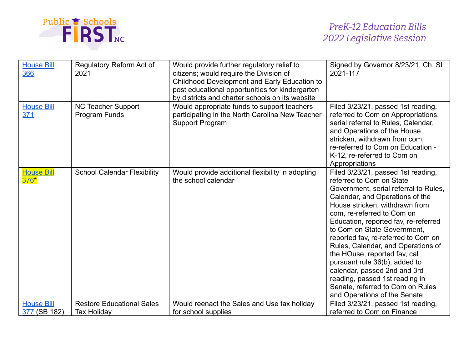

| <b>House Bill</b><br>366 | Regulatory Reform Act of<br>2021           | Would provide further regulatory relief to<br>citizens; would require the Division of<br>Childhood Development and Early Education to<br>post educational opportunities for kindergarten<br>by districts and charter schools on its website | Signed by Governor 8/23/21, Ch. SL<br>2021-117                                                                                                                                                                                                                                                                                                                                                                                                                                                                                                                        |
|--------------------------|--------------------------------------------|---------------------------------------------------------------------------------------------------------------------------------------------------------------------------------------------------------------------------------------------|-----------------------------------------------------------------------------------------------------------------------------------------------------------------------------------------------------------------------------------------------------------------------------------------------------------------------------------------------------------------------------------------------------------------------------------------------------------------------------------------------------------------------------------------------------------------------|
| <b>House Bill</b><br>371 | <b>NC Teacher Support</b><br>Program Funds | Would appropriate funds to support teachers<br>participating in the North Carolina New Teacher<br><b>Support Program</b>                                                                                                                    | Filed 3/23/21, passed 1st reading,<br>referred to Com on Appropriations,<br>serial referral to Rules, Calendar,<br>and Operations of the House<br>stricken, withdrawn from com,<br>re-referred to Com on Education -<br>K-12, re-referred to Com on<br>Appropriations                                                                                                                                                                                                                                                                                                 |
| House Bill<br>'76        | <b>School Calendar Flexibility</b>         | Would provide additional flexibility in adopting<br>the school calendar                                                                                                                                                                     | Filed 3/23/21, passed 1st reading,<br>referred to Com on State<br>Government, serial referral to Rules,<br>Calendar, and Operations of the<br>House stricken, withdrawn from<br>com, re-referred to Com on<br>Education, reported fav, re-referred<br>to Com on State Government,<br>reported fav, re-referred to Com on<br>Rules, Calendar, and Operations of<br>the HOuse, reported fav, cal<br>pursuant rule 36(b), added to<br>calendar, passed 2nd and 3rd<br>reading, passed 1st reading in<br>Senate, referred to Com on Rules<br>and Operations of the Senate |
| <b>House Bill</b>        | <b>Restore Educational Sales</b>           | Would reenact the Sales and Use tax holiday                                                                                                                                                                                                 | Filed 3/23/21, passed 1st reading,                                                                                                                                                                                                                                                                                                                                                                                                                                                                                                                                    |
| 377 (SB 182)             | <b>Tax Holiday</b>                         | for school supplies                                                                                                                                                                                                                         | referred to Com on Finance                                                                                                                                                                                                                                                                                                                                                                                                                                                                                                                                            |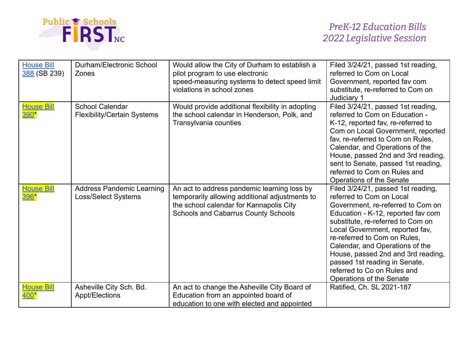

| <b>House Bill</b><br>388 (SB 239) | Durham/Electronic School<br>Zones                              | Would allow the City of Durham to establish a<br>pilot program to use electronic<br>speed-measuring systems to detect speed limit<br>violations in school zones                 | Filed 3/24/21, passed 1st reading,<br>referred to Com on Local<br>Government, reported fav com<br>substitute, re-referred to Com on<br>Judiciary 1                                                                                                                                                                                                                                                                     |
|-----------------------------------|----------------------------------------------------------------|---------------------------------------------------------------------------------------------------------------------------------------------------------------------------------|------------------------------------------------------------------------------------------------------------------------------------------------------------------------------------------------------------------------------------------------------------------------------------------------------------------------------------------------------------------------------------------------------------------------|
| <b>House Bill</b><br>390*         | <b>School Calendar</b><br><b>Flexibility/Certain Systems</b>   | Would provide additional flexibility in adopting<br>the school calendar in Henderson, Polk, and<br>Transylvania counties                                                        | Filed 3/24/21, passed 1st reading,<br>referred to Com on Education -<br>K-12, reported fav, re-referred to<br>Com on Local Government, reported<br>fav, re-referred to Com on Rules,<br>Calendar, and Operations of the<br>House, passed 2nd and 3rd reading,<br>sent to Senate, passed 1st reading,<br>referred to Com on Rules and<br>Operations of the Senate                                                       |
| <b>House Bill</b><br>396*         | <b>Address Pandemic Learning</b><br><b>Loss/Select Systems</b> | An act to address pandemic learning loss by<br>temporarily allowing additional adjustments to<br>the school calendar for Kannapolis City<br>Schools and Cabarrus County Schools | Filed 3/24/21, passed 1st reading,<br>referred to Com on Local<br>Government, re-referred to Com on<br>Education - K-12, reported fav com<br>substitute, re-referred to Com on<br>Local Government, reported fav,<br>re-referred to Com on Rules,<br>Calendar, and Operations of the<br>House, passed 2nd and 3rd reading,<br>passed 1st reading in Senate,<br>referred to Co on Rules and<br>Operations of the Senate |
| <b>House Bill</b><br>400*         | Asheville City Sch. Bd.<br>Appt/Elections                      | An act to change the Asheville City Board of<br>Education from an appointed board of<br>education to one with elected and appointed                                             | Ratified, Ch. SL 2021-187                                                                                                                                                                                                                                                                                                                                                                                              |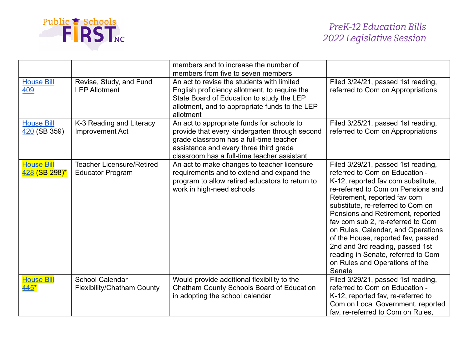

|                                     |                                                             | members and to increase the number of<br>members from five to seven members                                                                                                                                                      |                                                                                                                                                                                                                                                                                                                                                                                                                                                                                                  |
|-------------------------------------|-------------------------------------------------------------|----------------------------------------------------------------------------------------------------------------------------------------------------------------------------------------------------------------------------------|--------------------------------------------------------------------------------------------------------------------------------------------------------------------------------------------------------------------------------------------------------------------------------------------------------------------------------------------------------------------------------------------------------------------------------------------------------------------------------------------------|
| <b>House Bill</b><br>409            | Revise, Study, and Fund<br><b>LEP Allotment</b>             | An act to revise the students with limited<br>English proficiency allotment, to require the<br>State Board of Education to study the LEP<br>allotment, and to appropriate funds to the LEP<br>allotment                          | Filed 3/24/21, passed 1st reading,<br>referred to Com on Appropriations                                                                                                                                                                                                                                                                                                                                                                                                                          |
| <b>House Bill</b><br>$420$ (SB 359) | K-3 Reading and Literacy<br><b>Improvement Act</b>          | An act to appropriate funds for schools to<br>provide that every kindergarten through second<br>grade classroom has a full-time teacher<br>assistance and every three third grade<br>classroom has a full-time teacher assistant | Filed 3/25/21, passed 1st reading,<br>referred to Com on Appropriations                                                                                                                                                                                                                                                                                                                                                                                                                          |
| <b>House Bill</b><br>428 (SB 298)*  | <b>Teacher Licensure/Retired</b><br><b>Educator Program</b> | An act to make changes to teacher licensure<br>requirements and to extend and expand the<br>program to allow retired educators to return to<br>work in high-need schools                                                         | Filed 3/29/21, passed 1st reading,<br>referred to Com on Education -<br>K-12, reported fav com substitute,<br>re-referred to Com on Pensions and<br>Retirement, reported fav com<br>substitute, re-referred to Com on<br>Pensions and Retirement, reported<br>fav com sub 2, re-referred to Com<br>on Rules, Calendar, and Operations<br>of the House, reported fav, passed<br>2nd and 3rd reading, passed 1st<br>reading in Senate, referred to Com<br>on Rules and Operations of the<br>Senate |
| <b>House Bill</b><br>$445*$         | <b>School Calendar</b><br><b>Flexibility/Chatham County</b> | Would provide additional flexibility to the<br>Chatham County Schools Board of Education<br>in adopting the school calendar                                                                                                      | Filed 3/29/21, passed 1st reading,<br>referred to Com on Education -<br>K-12, reported fav, re-referred to<br>Com on Local Government, reported<br>fav, re-referred to Com on Rules,                                                                                                                                                                                                                                                                                                             |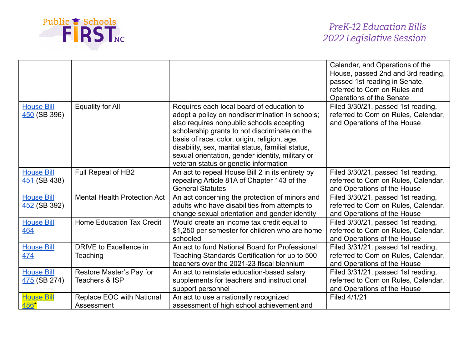

|                                     |                                            |                                                                                                                                                                                                                                                                                                                                                                                              | Calendar, and Operations of the<br>House, passed 2nd and 3rd reading,<br>passed 1st reading in Senate,<br>referred to Com on Rules and<br>Operations of the Senate |
|-------------------------------------|--------------------------------------------|----------------------------------------------------------------------------------------------------------------------------------------------------------------------------------------------------------------------------------------------------------------------------------------------------------------------------------------------------------------------------------------------|--------------------------------------------------------------------------------------------------------------------------------------------------------------------|
| <b>House Bill</b><br>450 (SB 396)   | <b>Equality for All</b>                    | Requires each local board of education to<br>adopt a policy on nondiscrimination in schools;<br>also requires nonpublic schools accepting<br>scholarship grants to not discriminate on the<br>basis of race, color, origin, religion, age,<br>disability, sex, marital status, familial status,<br>sexual orientation, gender identity, military or<br>veteran status or genetic information | Filed 3/30/21, passed 1st reading,<br>referred to Com on Rules, Calendar,<br>and Operations of the House                                                           |
| <b>House Bill</b><br>451 (SB 438)   | Full Repeal of HB2                         | An act to repeal House Bill 2 in its entirety by<br>repealing Article 81A of Chapter 143 of the<br><b>General Statutes</b>                                                                                                                                                                                                                                                                   | Filed 3/30/21, passed 1st reading,<br>referred to Com on Rules, Calendar,<br>and Operations of the House                                                           |
| <b>House Bill</b><br>452 (SB 392)   | <b>Mental Health Protection Act</b>        | An act concerning the protection of minors and<br>adults who have disabilities from attempts to<br>change sexual orientation and gender identity                                                                                                                                                                                                                                             | Filed 3/30/21, passed 1st reading,<br>referred to Com on Rules, Calendar,<br>and Operations of the House                                                           |
| <b>House Bill</b><br>464            | Home Education Tax Credit                  | Would create an income tax credit equal to<br>\$1,250 per semester for children who are home<br>schooled                                                                                                                                                                                                                                                                                     | Filed 3/30/21, passed 1st reading,<br>referred to Com on Rules, Calendar,<br>and Operations of the House                                                           |
| <b>House Bill</b><br>474            | DRIVE to Excellence in<br>Teaching         | An act to fund National Board for Professional<br>Teaching Standards Certification for up to 500<br>teachers over the 2021-23 fiscal biennium                                                                                                                                                                                                                                                | Filed 3/31/21, passed 1st reading,<br>referred to Com on Rules, Calendar,<br>and Operations of the House                                                           |
| <b>House Bill</b><br>$475$ (SB 274) | Restore Master's Pay for<br>Teachers & ISP | An act to reinstate education-based salary<br>supplements for teachers and instructional<br>support personnel                                                                                                                                                                                                                                                                                | Filed 3/31/21, passed 1st reading,<br>referred to Com on Rules, Calendar,<br>and Operations of the House                                                           |
| <b>House Bill</b><br>486*           | Replace EOC with National<br>Assessment    | An act to use a nationally recognized<br>assessment of high school achievement and                                                                                                                                                                                                                                                                                                           | Filed 4/1/21                                                                                                                                                       |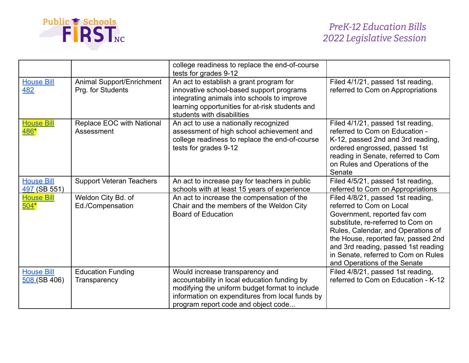

|                                   |                                                | college readiness to replace the end-of-course<br>tests for grades 9-12                                                                                                                                                     |                                                                                                                                                                                                                                                                                                                               |
|-----------------------------------|------------------------------------------------|-----------------------------------------------------------------------------------------------------------------------------------------------------------------------------------------------------------------------------|-------------------------------------------------------------------------------------------------------------------------------------------------------------------------------------------------------------------------------------------------------------------------------------------------------------------------------|
| <b>House Bill</b><br>482          | Animal Support/Enrichment<br>Prg. for Students | An act to establish a grant program for<br>innovative school-based support programs<br>integrating animals into schools to improve<br>learning opportunities for at-risk students and<br>students with disabilities         | Filed 4/1/21, passed 1st reading,<br>referred to Com on Appropriations                                                                                                                                                                                                                                                        |
| <b>House Bill</b><br>486*         | Replace EOC with National<br>Assessment        | An act to use a nationally recognized<br>assessment of high school achievement and<br>college readiness to replace the end-of-course<br>tests for grades 9-12                                                               | Filed 4/1/21, passed 1st reading,<br>referred to Com on Education -<br>K-12, passed 2nd and 3rd reading,<br>ordered engrossed, passed 1st<br>reading in Senate, referred to Com<br>on Rules and Operations of the<br>Senate                                                                                                   |
| <b>House Bill</b><br>497 (SB 551) | <b>Support Veteran Teachers</b>                | An act to increase pay for teachers in public<br>schools with at least 15 years of experience                                                                                                                               | Filed 4/5/21, passed 1st reading,<br>referred to Com on Appropriations                                                                                                                                                                                                                                                        |
| <b>House Bill</b><br>$504*$       | Weldon City Bd. of<br>Ed./Compensation         | An act to increase the compensation of the<br>Chair and the members of the Weldon City<br><b>Board of Education</b>                                                                                                         | Filed 4/8/21, passed 1st reading,<br>referred to Com on Local<br>Government, reported fav com<br>substitute, re-referred to Com on<br>Rules, Calendar, and Operations of<br>the House, reported fav, passed 2nd<br>and 3rd reading, passed 1st reading<br>in Senate, referred to Com on Rules<br>and Operations of the Senate |
| <b>House Bill</b><br>508 (SB 406) | <b>Education Funding</b><br>Transparency       | Would increase transparency and<br>accountability in local education funding by<br>modifying the uniform budget format to include<br>information on expenditures from local funds by<br>program report code and object code | Filed 4/8/21, passed 1st reading,<br>referred to Com on Education - K-12                                                                                                                                                                                                                                                      |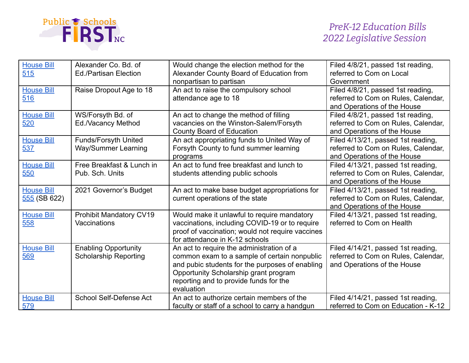

| <b>House Bill</b><br>515            | Alexander Co. Bd. of<br><b>Ed./Partisan Election</b>        | Would change the election method for the<br>Alexander County Board of Education from<br>nonpartisan to partisan                                                                                                                               | Filed 4/8/21, passed 1st reading,<br>referred to Com on Local<br>Government                              |
|-------------------------------------|-------------------------------------------------------------|-----------------------------------------------------------------------------------------------------------------------------------------------------------------------------------------------------------------------------------------------|----------------------------------------------------------------------------------------------------------|
| <b>House Bill</b><br>516            | Raise Dropout Age to 18                                     | An act to raise the compulsory school<br>attendance age to 18                                                                                                                                                                                 | Filed 4/8/21, passed 1st reading,<br>referred to Com on Rules, Calendar,<br>and Operations of the House  |
| <b>House Bill</b><br>520            | WS/Forsyth Bd. of<br>Ed./Vacancy Method                     | An act to change the method of filling<br>vacancies on the Winston-Salem/Forsyth<br><b>County Board of Education</b>                                                                                                                          | Filed 4/8/21, passed 1st reading,<br>referred to Com on Rules, Calendar,<br>and Operations of the House  |
| <b>House Bill</b><br>537            | <b>Funds/Forsyth United</b><br><b>Way/Summer Learning</b>   | An act appropriating funds to United Way of<br>Forsyth County to fund summer learning<br>programs                                                                                                                                             | Filed 4/13/21, passed 1st reading,<br>referred to Com on Rules, Calendar,<br>and Operations of the House |
| <b>House Bill</b><br>550            | Free Breakfast & Lunch in<br>Pub. Sch. Units                | An act to fund free breakfast and lunch to<br>students attending public schools                                                                                                                                                               | Filed 4/13/21, passed 1st reading,<br>referred to Com on Rules, Calendar,<br>and Operations of the House |
| <b>House Bill</b><br>$555$ (SB 622) | 2021 Governor's Budget                                      | An act to make base budget appropriations for<br>current operations of the state                                                                                                                                                              | Filed 4/13/21, passed 1st reading,<br>referred to Com on Rules, Calendar,<br>and Operations of the House |
| <b>House Bill</b><br>558            | Prohibit Mandatory CV19<br>Vaccinations                     | Would make it unlawful to require mandatory<br>vaccinations, including COVID-19 or to require<br>proof of vaccination; would not require vaccines<br>for attendance in K-12 schools                                                           | Filed 4/13/21, passed 1st reading,<br>referred to Com on Health                                          |
| <b>House Bill</b><br>569            | <b>Enabling Opportunity</b><br><b>Scholarship Reporting</b> | An act to require the administration of a<br>common exam to a sample of certain nonpublic<br>and pubic students for the purposes of enabling<br>Opportunity Scholarship grant program<br>reporting and to provide funds for the<br>evaluation | Filed 4/14/21, passed 1st reading,<br>referred to Com on Rules, Calendar,<br>and Operations of the House |
| <b>House Bill</b><br>579            | School Self-Defense Act                                     | An act to authorize certain members of the<br>faculty or staff of a school to carry a handgun                                                                                                                                                 | Filed 4/14/21, passed 1st reading,<br>referred to Com on Education - K-12                                |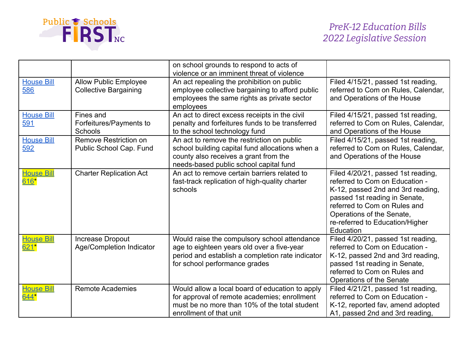

|                               |                                                              | on school grounds to respond to acts of<br>violence or an imminent threat of violence                                                                                            |                                                                                                                                                                                                                                                         |
|-------------------------------|--------------------------------------------------------------|----------------------------------------------------------------------------------------------------------------------------------------------------------------------------------|---------------------------------------------------------------------------------------------------------------------------------------------------------------------------------------------------------------------------------------------------------|
| <b>House Bill</b><br>586      | <b>Allow Public Employee</b><br><b>Collective Bargaining</b> | An act repealing the prohibition on public<br>employee collective bargaining to afford public<br>employees the same rights as private sector<br>employees                        | Filed 4/15/21, passed 1st reading,<br>referred to Com on Rules, Calendar,<br>and Operations of the House                                                                                                                                                |
| <b>House Bill</b><br>591      | Fines and<br>Forfeitures/Payments to<br>Schools              | An act to direct excess receipts in the civil<br>penalty and forfeitures funds to be transferred<br>to the school technology fund                                                | Filed 4/15/21, passed 1st reading,<br>referred to Com on Rules, Calendar,<br>and Operations of the House                                                                                                                                                |
| <b>House Bill</b><br>592      | Remove Restriction on<br>Public School Cap. Fund             | An act to remove the restriction on public<br>school building capital fund allocations when a<br>county also receives a grant from the<br>needs-based public school capital fund | Filed 4/15/21, passed 1st reading,<br>referred to Com on Rules, Calendar,<br>and Operations of the House                                                                                                                                                |
| <b>House Bill</b><br>$616*$   | <b>Charter Replication Act</b>                               | An act to remove certain barriers related to<br>fast-track replication of high-quality charter<br>schools                                                                        | Filed 4/20/21, passed 1st reading,<br>referred to Com on Education -<br>K-12, passed 2nd and 3rd reading,<br>passed 1st reading in Senate,<br>referred to Com on Rules and<br>Operations of the Senate,<br>re-referred to Education/Higher<br>Education |
| <b>House Bill</b><br>$621*$   | Increase Dropout<br>Age/Completion Indicator                 | Would raise the compulsory school attendance<br>age to eighteen years old over a five-year<br>period and establish a completion rate indicator<br>for school performance grades  | Filed 4/20/21, passed 1st reading,<br>referred to Com on Education -<br>K-12, passed 2nd and 3rd reading,<br>passed 1st reading in Senate,<br>referred to Com on Rules and<br>Operations of the Senate                                                  |
| <u>  House Bill</u><br>$644*$ | <b>Remote Academies</b>                                      | Would allow a local board of education to apply<br>for approval of remote academies; enrollment<br>must be no more than 10% of the total student<br>enrollment of that unit      | Filed 4/21/21, passed 1st reading,<br>referred to Com on Education -<br>K-12, reported fav, amend adopted<br>A1, passed 2nd and 3rd reading,                                                                                                            |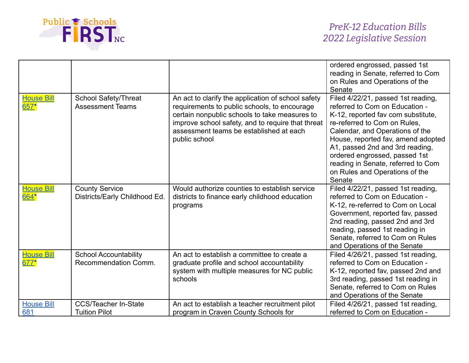

|                             |                                                        |                                                                                                                                                                                                                                                                      | ordered engrossed, passed 1st<br>reading in Senate, referred to Com<br>on Rules and Operations of the<br>Senate                                                                                                                                                                                                                                                           |
|-----------------------------|--------------------------------------------------------|----------------------------------------------------------------------------------------------------------------------------------------------------------------------------------------------------------------------------------------------------------------------|---------------------------------------------------------------------------------------------------------------------------------------------------------------------------------------------------------------------------------------------------------------------------------------------------------------------------------------------------------------------------|
| <b>House Bill</b><br>$657*$ | <b>School Safety/Threat</b><br><b>Assessment Teams</b> | An act to clarify the application of school safety<br>requirements to public schools, to encourage<br>certain nonpublic schools to take measures to<br>improve school safety, and to require that threat<br>assessment teams be established at each<br>public school | Filed 4/22/21, passed 1st reading,<br>referred to Com on Education -<br>K-12, reported fav com substitute,<br>re-referred to Com on Rules.<br>Calendar, and Operations of the<br>House, reported fav, amend adopted<br>A1, passed 2nd and 3rd reading,<br>ordered engrossed, passed 1st<br>reading in Senate, referred to Com<br>on Rules and Operations of the<br>Senate |
| <u>House Bill</u><br>664*   | <b>County Service</b><br>Districts/Early Childhood Ed. | Would authorize counties to establish service<br>districts to finance early childhood education<br>programs                                                                                                                                                          | Filed 4/22/21, passed 1st reading,<br>referred to Com on Education -<br>K-12, re-referred to Com on Local<br>Government, reported fav, passed<br>2nd reading, passed 2nd and 3rd<br>reading, passed 1st reading in<br>Senate, referred to Com on Rules<br>and Operations of the Senate                                                                                    |
| <b>House Bill</b><br>677*   | <b>School Accountability</b><br>Recommendation Comm.   | An act to establish a committee to create a<br>graduate profile and school accountability<br>system with multiple measures for NC public<br>schools                                                                                                                  | Filed 4/26/21, passed 1st reading,<br>referred to Com on Education -<br>K-12, reported fav, passed 2nd and<br>3rd reading, passed 1st reading in<br>Senate, referred to Com on Rules<br>and Operations of the Senate                                                                                                                                                      |
| <b>House Bill</b><br>681    | <b>CCS/Teacher In-State</b><br><b>Tuition Pilot</b>    | An act to establish a teacher recruitment pilot<br>program in Craven County Schools for                                                                                                                                                                              | Filed 4/26/21, passed 1st reading,<br>referred to Com on Education -                                                                                                                                                                                                                                                                                                      |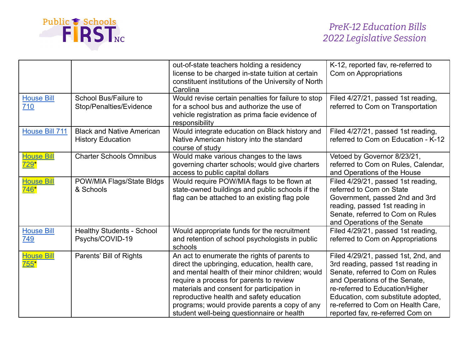

|                             |                                                              | out-of-state teachers holding a residency<br>license to be charged in-state tuition at certain<br>constituent institutions of the University of North<br>Carolina                                                                                                                                                                                                                      | K-12, reported fav, re-referred to<br>Com on Appropriations                                                                                                                                                                                                                                       |
|-----------------------------|--------------------------------------------------------------|----------------------------------------------------------------------------------------------------------------------------------------------------------------------------------------------------------------------------------------------------------------------------------------------------------------------------------------------------------------------------------------|---------------------------------------------------------------------------------------------------------------------------------------------------------------------------------------------------------------------------------------------------------------------------------------------------|
| <b>House Bill</b><br>710    | School Bus/Failure to<br>Stop/Penalties/Evidence             | Would revise certain penalties for failure to stop<br>for a school bus and authorize the use of<br>vehicle registration as prima facie evidence of<br>responsibility                                                                                                                                                                                                                   | Filed 4/27/21, passed 1st reading,<br>referred to Com on Transportation                                                                                                                                                                                                                           |
| House Bill 711              | <b>Black and Native American</b><br><b>History Education</b> | Would integrate education on Black history and<br>Native American history into the standard<br>course of study                                                                                                                                                                                                                                                                         | Filed 4/27/21, passed 1st reading,<br>referred to Com on Education - K-12                                                                                                                                                                                                                         |
| <b>House Bill</b><br>$729*$ | <b>Charter Schools Omnibus</b>                               | Would make various changes to the laws<br>governing charter schools; would give charters<br>access to public capital dollars                                                                                                                                                                                                                                                           | Vetoed by Governor 8/23/21,<br>referred to Com on Rules, Calendar,<br>and Operations of the House                                                                                                                                                                                                 |
| <b>House Bill</b><br>746*   | POW/MIA Flags/State Bldgs<br>& Schools                       | Would require POW/MIA flags to be flown at<br>state-owned buildings and public schools if the<br>flag can be attached to an existing flag pole                                                                                                                                                                                                                                         | Filed 4/29/21, passed 1st reading,<br>referred to Com on State<br>Government, passed 2nd and 3rd<br>reading, passed 1st reading in<br>Senate, referred to Com on Rules<br>and Operations of the Senate                                                                                            |
| <b>House Bill</b><br>749    | <b>Healthy Students - School</b><br>Psychs/COVID-19          | Would appropriate funds for the recruitment<br>and retention of school psychologists in public<br>schools                                                                                                                                                                                                                                                                              | Filed 4/29/21, passed 1st reading,<br>referred to Com on Appropriations                                                                                                                                                                                                                           |
| <b>House Bill</b><br>$755*$ | Parents' Bill of Rights                                      | An act to enumerate the rights of parents to<br>direct the upbringing, education, health care,<br>and mental health of their minor children; would<br>require a process for parents to review<br>materials and consent for participation in<br>reproductive health and safety education<br>programs; would provide parents a copy of any<br>student well-being questionnaire or health | Filed 4/29/21, passed 1st, 2nd, and<br>3rd reading, passed 1st reading in<br>Senate, referred to Com on Rules<br>and Operations of the Senate,<br>re-referred to Education/Higher<br>Education, com substitute adopted,<br>re-referred to Com on Health Care,<br>reported fav, re-referred Com on |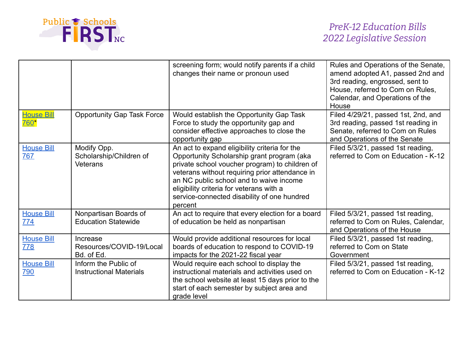

|                                  |                                                           | screening form; would notify parents if a child<br>changes their name or pronoun used                                                                                                                                                                                                                                                            | Rules and Operations of the Senate,<br>amend adopted A1, passed 2nd and<br>3rd reading, engrossed, sent to<br>House, referred to Com on Rules,<br>Calendar, and Operations of the<br>House |
|----------------------------------|-----------------------------------------------------------|--------------------------------------------------------------------------------------------------------------------------------------------------------------------------------------------------------------------------------------------------------------------------------------------------------------------------------------------------|--------------------------------------------------------------------------------------------------------------------------------------------------------------------------------------------|
| <b>House Bill</b><br><u>760*</u> | <b>Opportunity Gap Task Force</b>                         | Would establish the Opportunity Gap Task<br>Force to study the opportunity gap and<br>consider effective approaches to close the<br>opportunity gap                                                                                                                                                                                              | Filed 4/29/21, passed 1st, 2nd, and<br>3rd reading, passed 1st reading in<br>Senate, referred to Com on Rules<br>and Operations of the Senate                                              |
| <b>House Bill</b><br>767         | Modify Opp.<br>Scholarship/Children of<br><b>Veterans</b> | An act to expand eligibility criteria for the<br>Opportunity Scholarship grant program (aka<br>private school voucher program) to children of<br>veterans without requiring prior attendance in<br>an NC public school and to waive income<br>eligibility criteria for veterans with a<br>service-connected disability of one hundred<br>percent | Filed 5/3/21, passed 1st reading,<br>referred to Com on Education - K-12                                                                                                                   |
| <b>House Bill</b><br>774         | Nonpartisan Boards of<br><b>Education Statewide</b>       | An act to require that every election for a board<br>of education be held as nonpartisan                                                                                                                                                                                                                                                         | Filed 5/3/21, passed 1st reading,<br>referred to Com on Rules, Calendar,<br>and Operations of the House                                                                                    |
| <b>House Bill</b><br>778         | Increase<br>Resources/COVID-19/Local<br>Bd. of Ed.        | Would provide additional resources for local<br>boards of education to respond to COVID-19<br>impacts for the 2021-22 fiscal year                                                                                                                                                                                                                | Filed 5/3/21, passed 1st reading,<br>referred to Com on State<br>Government                                                                                                                |
| <b>House Bill</b><br>790         | Inform the Public of<br><b>Instructional Materials</b>    | Would require each school to display the<br>instructional materials and activities used on<br>the school website at least 15 days prior to the<br>start of each semester by subject area and<br>grade level                                                                                                                                      | Filed 5/3/21, passed 1st reading,<br>referred to Com on Education - K-12                                                                                                                   |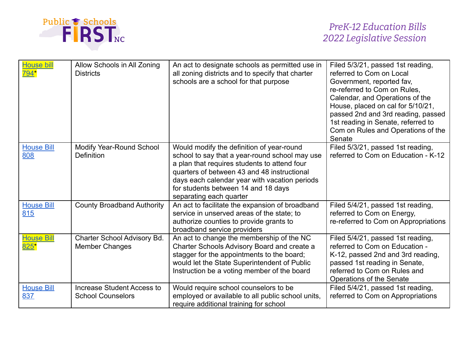

| <b>House bill</b><br>794*   | Allow Schools in All Zoning<br><b>Districts</b>               | An act to designate schools as permitted use in<br>all zoning districts and to specify that charter<br>schools are a school for that purpose                                                                                                                                                                  | Filed 5/3/21, passed 1st reading,<br>referred to Com on Local<br>Government, reported fav,<br>re-referred to Com on Rules,<br>Calendar, and Operations of the<br>House, placed on cal for 5/10/21,<br>passed 2nd and 3rd reading, passed<br>1st reading in Senate, referred to<br>Com on Rules and Operations of the<br>Senate |
|-----------------------------|---------------------------------------------------------------|---------------------------------------------------------------------------------------------------------------------------------------------------------------------------------------------------------------------------------------------------------------------------------------------------------------|--------------------------------------------------------------------------------------------------------------------------------------------------------------------------------------------------------------------------------------------------------------------------------------------------------------------------------|
| <b>House Bill</b><br>808    | Modify Year-Round School<br>Definition                        | Would modify the definition of year-round<br>school to say that a year-round school may use<br>a plan that requires students to attend four<br>quarters of between 43 and 48 instructional<br>days each calendar year with vacation periods<br>for students between 14 and 18 days<br>separating each quarter | Filed 5/3/21, passed 1st reading,<br>referred to Com on Education - K-12                                                                                                                                                                                                                                                       |
| <b>House Bill</b><br>815    | <b>County Broadband Authority</b>                             | An act to facilitate the expansion of broadband<br>service in unserved areas of the state; to<br>authorize counties to provide grants to<br>broadband service providers                                                                                                                                       | Filed 5/4/21, passed 1st reading,<br>referred to Com on Energy,<br>re-referred to Com on Appropriations                                                                                                                                                                                                                        |
| <b>House Bill</b><br>$825*$ | Charter School Advisory Bd.<br><b>Member Changes</b>          | An act to change the membership of the NC<br>Charter Schools Advisory Board and create a<br>stagger for the appointments to the board;<br>would let the State Superintendent of Public<br>Instruction be a voting member of the board                                                                         | Filed 5/4/21, passed 1st reading,<br>referred to Com on Education -<br>K-12, passed 2nd and 3rd reading,<br>passed 1st reading in Senate,<br>referred to Com on Rules and<br>Operations of the Senate                                                                                                                          |
| <b>House Bill</b><br>837    | <b>Increase Student Access to</b><br><b>School Counselors</b> | Would require school counselors to be<br>employed or available to all public school units,<br>require additional training for school                                                                                                                                                                          | Filed 5/4/21, passed 1st reading,<br>referred to Com on Appropriations                                                                                                                                                                                                                                                         |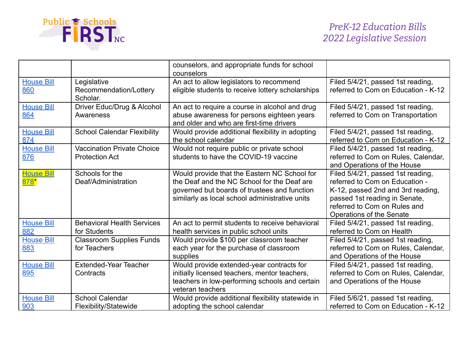

|                             |                                                            | counselors, and appropriate funds for school<br>counselors                                                                                                                                    |                                                                                                                                                                                                       |
|-----------------------------|------------------------------------------------------------|-----------------------------------------------------------------------------------------------------------------------------------------------------------------------------------------------|-------------------------------------------------------------------------------------------------------------------------------------------------------------------------------------------------------|
| <b>House Bill</b><br>860    | Legislative<br>Recommendation/Lottery<br>Scholar.          | An act to allow legislators to recommend<br>eligible students to receive lottery scholarships                                                                                                 | Filed 5/4/21, passed 1st reading,<br>referred to Com on Education - K-12                                                                                                                              |
| <b>House Bill</b><br>864    | Driver Educ/Drug & Alcohol<br>Awareness                    | An act to require a course in alcohol and drug<br>abuse awareness for persons eighteen years<br>and older and who are first-time drivers                                                      | Filed 5/4/21, passed 1st reading,<br>referred to Com on Transportation                                                                                                                                |
| <b>House Bill</b><br>874    | <b>School Calendar Flexibility</b>                         | Would provide additional flexibility in adopting<br>the school calendar                                                                                                                       | Filed 5/4/21, passed 1st reading,<br>referred to Com on Education - K-12                                                                                                                              |
| <b>House Bill</b><br>876    | <b>Vaccination Private Choice</b><br><b>Protection Act</b> | Would not require public or private school<br>students to have the COVID-19 vaccine                                                                                                           | Filed 5/4/21, passed 1st reading,<br>referred to Com on Rules, Calendar,<br>and Operations of the House                                                                                               |
| <b>House Bill</b><br>$878*$ | Schools for the<br>Deaf/Administration                     | Would provide that the Eastern NC School for<br>the Deaf and the NC School for the Deaf are<br>governed but boards of trustees and function<br>similarly as local school administrative units | Filed 5/4/21, passed 1st reading,<br>referred to Com on Education -<br>K-12, passed 2nd and 3rd reading,<br>passed 1st reading in Senate,<br>referred to Com on Rules and<br>Operations of the Senate |
| <b>House Bill</b><br>882    | <b>Behavioral Health Services</b><br>for Students          | An act to permit students to receive behavioral<br>health services in public school units                                                                                                     | Filed 5/4/21, passed 1st reading,<br>referred to Com on Health                                                                                                                                        |
| <b>House Bill</b><br>883    | <b>Classroom Supplies Funds</b><br>for Teachers            | Would provide \$100 per classroom teacher<br>each year for the purchase of classroom<br>supplies                                                                                              | Filed 5/4/21, passed 1st reading,<br>referred to Com on Rules, Calendar,<br>and Operations of the House                                                                                               |
| <b>House Bill</b><br>895    | <b>Extended-Year Teacher</b><br>Contracts                  | Would provide extended-year contracts for<br>initially licensed teachers, mentor teachers,<br>teachers in low-performing schools and certain<br>veteran teachers                              | Filed 5/4/21, passed 1st reading,<br>referred to Com on Rules, Calendar,<br>and Operations of the House                                                                                               |
| <b>House Bill</b><br>903    | <b>School Calendar</b><br>Flexibility/Statewide            | Would provide additional flexibility statewide in<br>adopting the school calendar                                                                                                             | Filed 5/6/21, passed 1st reading,<br>referred to Com on Education - K-12                                                                                                                              |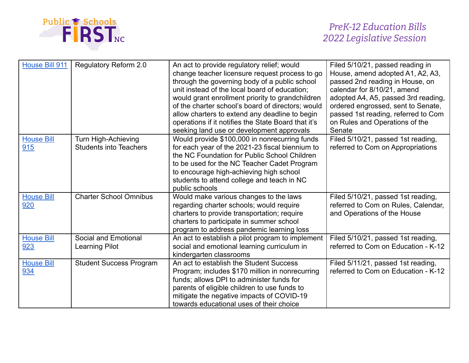

| House Bill 911           | <b>Regulatory Reform 2.0</b>                         | An act to provide regulatory relief; would<br>change teacher licensure request process to go<br>through the governing body of a public school<br>unit instead of the local board of education;<br>would grant enrollment priority to grandchildren<br>of the charter school's board of directors; would<br>allow charters to extend any deadline to begin<br>operations if it notifies the State Board that it's<br>seeking land use or development approvals | Filed 5/10/21, passed reading in<br>House, amend adopted A1, A2, A3,<br>passed 2nd reading in House, on<br>calendar for 8/10/21, amend<br>adopted A4, A5, passed 3rd reading,<br>ordered engrossed, sent to Senate,<br>passed 1st reading, referred to Com<br>on Rules and Operations of the<br>Senate |
|--------------------------|------------------------------------------------------|---------------------------------------------------------------------------------------------------------------------------------------------------------------------------------------------------------------------------------------------------------------------------------------------------------------------------------------------------------------------------------------------------------------------------------------------------------------|--------------------------------------------------------------------------------------------------------------------------------------------------------------------------------------------------------------------------------------------------------------------------------------------------------|
| <b>House Bill</b><br>915 | Turn High-Achieving<br><b>Students into Teachers</b> | Would provide \$100,000 in nonrecurring funds<br>for each year of the 2021-23 fiscal biennium to<br>the NC Foundation for Public School Children<br>to be used for the NC Teacher Cadet Program<br>to encourage high-achieving high school<br>students to attend college and teach in NC<br>public schools                                                                                                                                                    | Filed 5/10/21, passed 1st reading,<br>referred to Com on Appropriations                                                                                                                                                                                                                                |
| <b>House Bill</b><br>920 | <b>Charter School Omnibus</b>                        | Would make various changes to the laws<br>regarding charter schools; would require<br>charters to provide transportation; require<br>charters to participate in summer school<br>program to address pandemic learning loss                                                                                                                                                                                                                                    | Filed 5/10/21, passed 1st reading,<br>referred to Com on Rules, Calendar,<br>and Operations of the House                                                                                                                                                                                               |
| <b>House Bill</b><br>923 | <b>Social and Emotional</b><br><b>Learning Pilot</b> | An act to establish a pilot program to implement<br>social and emotional learning curriculum in<br>kindergarten classrooms                                                                                                                                                                                                                                                                                                                                    | Filed 5/10/21, passed 1st reading,<br>referred to Com on Education - K-12                                                                                                                                                                                                                              |
| <b>House Bill</b><br>934 | <b>Student Success Program</b>                       | An act to establish the Student Success<br>Program; includes \$170 million in nonrecurring<br>funds; allows DPI to administer funds for<br>parents of eligible children to use funds to<br>mitigate the negative impacts of COVID-19<br>towards educational uses of their choice                                                                                                                                                                              | Filed 5/11/21, passed 1st reading,<br>referred to Com on Education - K-12                                                                                                                                                                                                                              |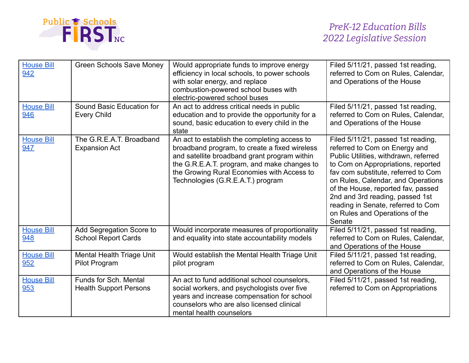

| <b>House Bill</b><br>942 | <b>Green Schools Save Money</b>                        | Would appropriate funds to improve energy<br>efficiency in local schools, to power schools<br>with solar energy, and replace<br>combustion-powered school buses with<br>electric-powered school buses                                                                           | Filed 5/11/21, passed 1st reading,<br>referred to Com on Rules, Calendar,<br>and Operations of the House                                                                                                                                                                                                                                                                                   |
|--------------------------|--------------------------------------------------------|---------------------------------------------------------------------------------------------------------------------------------------------------------------------------------------------------------------------------------------------------------------------------------|--------------------------------------------------------------------------------------------------------------------------------------------------------------------------------------------------------------------------------------------------------------------------------------------------------------------------------------------------------------------------------------------|
| <b>House Bill</b><br>946 | Sound Basic Education for<br><b>Every Child</b>        | An act to address critical needs in public<br>education and to provide the opportunity for a<br>sound, basic education to every child in the<br>state                                                                                                                           | Filed 5/11/21, passed 1st reading,<br>referred to Com on Rules, Calendar,<br>and Operations of the House                                                                                                                                                                                                                                                                                   |
| <b>House Bill</b><br>947 | The G.R.E.A.T. Broadband<br><b>Expansion Act</b>       | An act to establish the completing access to<br>broadband program, to create a fixed wireless<br>and satellite broadband grant program within<br>the G.R.E.A.T. program, and make changes to<br>the Growing Rural Economies with Access to<br>Technologies (G.R.E.A.T.) program | Filed 5/11/21, passed 1st reading,<br>referred to Com on Energy and<br>Public Utilities, withdrawn, referred<br>to Com on Appropriations, reported<br>fav com substitute, referred to Com<br>on Rules, Calendar, and Operations<br>of the House, reported fav, passed<br>2nd and 3rd reading, passed 1st<br>reading in Senate, referred to Com<br>on Rules and Operations of the<br>Senate |
| <b>House Bill</b><br>948 | Add Segregation Score to<br><b>School Report Cards</b> | Would incorporate measures of proportionality<br>and equality into state accountability models                                                                                                                                                                                  | Filed 5/11/21, passed 1st reading,<br>referred to Com on Rules, Calendar,<br>and Operations of the House                                                                                                                                                                                                                                                                                   |
| <b>House Bill</b><br>952 | <b>Mental Health Triage Unit</b><br>Pilot Program      | Would establish the Mental Health Triage Unit<br>pilot program                                                                                                                                                                                                                  | Filed 5/11/21, passed 1st reading,<br>referred to Com on Rules, Calendar,<br>and Operations of the House                                                                                                                                                                                                                                                                                   |
| <b>House Bill</b><br>953 | Funds for Sch. Mental<br><b>Health Support Persons</b> | An act to fund additional school counselors,<br>social workers, and psychologists over five<br>years and increase compensation for school<br>counselors who are also licensed clinical<br>mental health counselors                                                              | Filed 5/11/21, passed 1st reading,<br>referred to Com on Appropriations                                                                                                                                                                                                                                                                                                                    |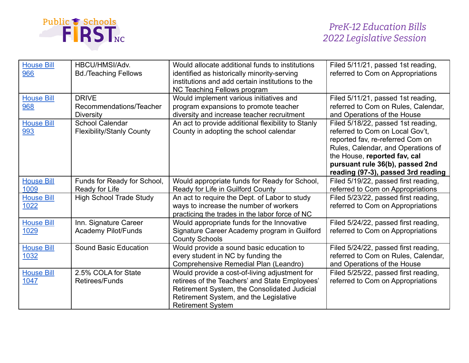

| <b>House Bill</b><br>966  | HBCU/HMSI/Adv.<br><b>Bd./Teaching Fellows</b>               | Would allocate additional funds to institutions<br>identified as historically minority-serving<br>institutions and add certain institutions to the<br>NC Teaching Fellows program                                     | Filed 5/11/21, passed 1st reading,<br>referred to Com on Appropriations                                                                                                                                                                                  |
|---------------------------|-------------------------------------------------------------|-----------------------------------------------------------------------------------------------------------------------------------------------------------------------------------------------------------------------|----------------------------------------------------------------------------------------------------------------------------------------------------------------------------------------------------------------------------------------------------------|
| <b>House Bill</b><br>968  | <b>DRIVE</b><br>Recommendations/Teacher<br><b>Diversity</b> | Would implement various initiatives and<br>program expansions to promote teacher<br>diversity and increase teacher recruitment                                                                                        | Filed 5/11/21, passed 1st reading,<br>referred to Com on Rules, Calendar,<br>and Operations of the House                                                                                                                                                 |
| <b>House Bill</b><br>993  | <b>School Calendar</b><br><b>Flexibility/Stanly County</b>  | An act to provide additional flexibility to Stanly<br>County in adopting the school calendar                                                                                                                          | Filed 5/18/22, passed 1st reading,<br>referred to Com on Local Gov't,<br>reported fav, re-referred Com on<br>Rules, Calendar, and Operations of<br>the House, reported fav, cal<br>pursuant rule 36(b), passed 2nd<br>reading (97-3), passed 3rd reading |
| <b>House Bill</b><br>1009 | Funds for Ready for School,<br>Ready for Life               | Would appropriate funds for Ready for School,<br>Ready for Life in Guilford County                                                                                                                                    | Filed 5/19/22, passed first reading,<br>referred to Com on Appropriations                                                                                                                                                                                |
| <b>House Bill</b><br>1022 | <b>High School Trade Study</b>                              | An act to require the Dept. of Labor to study<br>ways to increase the number of workers<br>practicing the trades in the labor force of NC                                                                             | Filed 5/23/22, passed first reading,<br>referred to Com on Appropriations                                                                                                                                                                                |
| <b>House Bill</b><br>1029 | Inn. Signature Career<br><b>Academy Pilot/Funds</b>         | Would appropriate funds for the Innovative<br>Signature Career Academy program in Guilford<br><b>County Schools</b>                                                                                                   | Filed 5/24/22, passed first reading,<br>referred to Com on Appropriations                                                                                                                                                                                |
| <b>House Bill</b><br>1032 | <b>Sound Basic Education</b>                                | Would provide a sound basic education to<br>every student in NC by funding the<br>Comprehensive Remedial Plan (Leandro)                                                                                               | Filed 5/24/22, passed first reading,<br>referred to Com on Rules, Calendar,<br>and Operations of the House                                                                                                                                               |
| <b>House Bill</b><br>1047 | 2.5% COLA for State<br>Retirees/Funds                       | Would provide a cost-of-living adjustment for<br>retirees of the Teachers' and State Employees'<br>Retirement System, the Consolidated Judicial<br>Retirement System, and the Legislative<br><b>Retirement System</b> | Filed 5/25/22, passed first reading,<br>referred to Com on Appropriations                                                                                                                                                                                |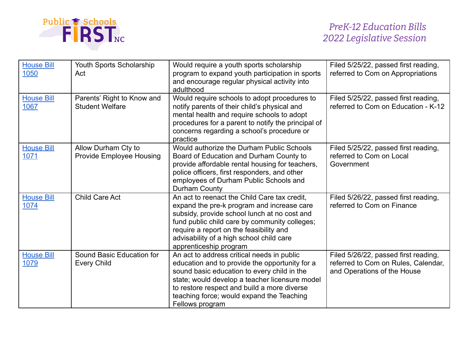

| <b>House Bill</b><br>1050 | Youth Sports Scholarship<br>Act                        | Would require a youth sports scholarship<br>program to expand youth participation in sports<br>and encourage regular physical activity into<br>adulthood                                                                                                                                                     | Filed 5/25/22, passed first reading,<br>referred to Com on Appropriations                                  |
|---------------------------|--------------------------------------------------------|--------------------------------------------------------------------------------------------------------------------------------------------------------------------------------------------------------------------------------------------------------------------------------------------------------------|------------------------------------------------------------------------------------------------------------|
| <b>House Bill</b><br>1067 | Parents' Right to Know and<br><b>Student Welfare</b>   | Would require schools to adopt procedures to<br>notify parents of their child's physical and<br>mental health and require schools to adopt<br>procedures for a parent to notify the principal of<br>concerns regarding a school's procedure or<br>practice                                                   | Filed 5/25/22, passed first reading,<br>referred to Com on Education - K-12                                |
| <b>House Bill</b><br>1071 | Allow Durham Cty to<br><b>Provide Employee Housing</b> | Would authorize the Durham Public Schools<br>Board of Education and Durham County to<br>provide affordable rental housing for teachers,<br>police officers, first responders, and other<br>employees of Durham Public Schools and<br>Durham County                                                           | Filed 5/25/22, passed first reading,<br>referred to Com on Local<br>Government                             |
| <b>House Bill</b><br>1074 | <b>Child Care Act</b>                                  | An act to reenact the Child Care tax credit,<br>expand the pre-k program and increase care<br>subsidy, provide school lunch at no cost and<br>fund public child care by community colleges;<br>require a report on the feasibility and<br>advisability of a high school child care<br>apprenticeship program | Filed 5/26/22, passed first reading,<br>referred to Com on Finance                                         |
| <b>House Bill</b><br>1079 | Sound Basic Education for<br><b>Every Child</b>        | An act to address critical needs in public<br>education and to provide the opportunity for a<br>sound basic education to every child in the<br>state; would develop a teacher licensure model<br>to restore respect and build a more diverse<br>teaching force; would expand the Teaching<br>Fellows program | Filed 5/26/22, passed first reading,<br>referred to Com on Rules, Calendar,<br>and Operations of the House |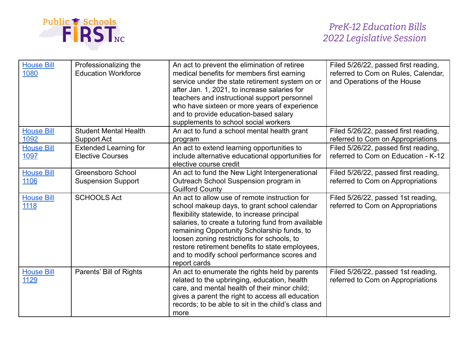

| <b>House Bill</b><br>1080 | Professionalizing the<br><b>Education Workforce</b>     | An act to prevent the elimination of retiree<br>medical benefits for members first earning<br>service under the state retirement system on or<br>after Jan. 1, 2021, to increase salaries for<br>teachers and instructional support personnel<br>who have sixteen or more years of experience<br>and to provide education-based salary<br>supplements to school social workers                                     | Filed 5/26/22, passed first reading,<br>referred to Com on Rules, Calendar,<br>and Operations of the House |
|---------------------------|---------------------------------------------------------|--------------------------------------------------------------------------------------------------------------------------------------------------------------------------------------------------------------------------------------------------------------------------------------------------------------------------------------------------------------------------------------------------------------------|------------------------------------------------------------------------------------------------------------|
| <b>House Bill</b><br>1092 | <b>Student Mental Health</b><br>Support Act             | An act to fund a school mental health grant<br>program                                                                                                                                                                                                                                                                                                                                                             | Filed 5/26/22, passed first reading,<br>referred to Com on Appropriations                                  |
| <b>House Bill</b><br>1097 | <b>Extended Learning for</b><br><b>Elective Courses</b> | An act to extend learning opportunities to<br>include alternative educational opportunities for<br>elective course credit                                                                                                                                                                                                                                                                                          | Filed 5/26/22, passed first reading,<br>referred to Com on Education - K-12                                |
| <b>House Bill</b><br>1106 | <b>Greensboro School</b><br><b>Suspension Support</b>   | An act to fund the New Light Intergenerational<br>Outreach School Suspension program in<br><b>Guilford County</b>                                                                                                                                                                                                                                                                                                  | Filed 5/26/22, passed first reading,<br>referred to Com on Appropriations                                  |
| <b>House Bill</b><br>1118 | <b>SCHOOLS Act</b>                                      | An act to allow use of remote instruction for<br>school makeup days, to grant school calendar<br>flexibility statewide, to increase principal<br>salaries, to create a tutoring fund from available<br>remaining Opportunity Scholarship funds, to<br>loosen zoning restrictions for schools, to<br>restore retirement benefits to state employees,<br>and to modify school performance scores and<br>report cards | Filed 5/26/22, passed 1st reading,<br>referred to Com on Appropriations                                    |
| <b>House Bill</b><br>1129 | Parents' Bill of Rights                                 | An act to enumerate the rights held by parents<br>related to the upbringing, education, health<br>care, and mental health of their minor child;<br>gives a parent the right to access all education<br>records; to be able to sit in the child's class and<br>more                                                                                                                                                 | Filed 5/26/22, passed 1st reading,<br>referred to Com on Appropriations                                    |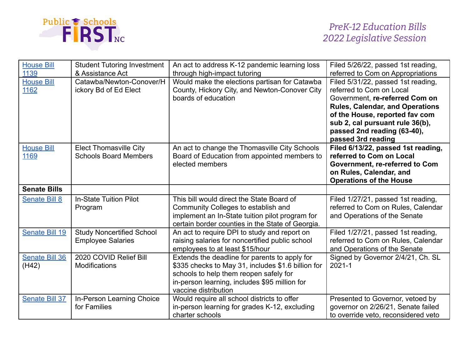

| <b>House Bill</b><br>1139      | <b>Student Tutoring Investment</b><br>& Assistance Act        | An act to address K-12 pandemic learning loss<br>through high-impact tutoring                                                                                                                                          | Filed 5/26/22, passed 1st reading,<br>referred to Com on Appropriations                                                                                                                                                                                              |
|--------------------------------|---------------------------------------------------------------|------------------------------------------------------------------------------------------------------------------------------------------------------------------------------------------------------------------------|----------------------------------------------------------------------------------------------------------------------------------------------------------------------------------------------------------------------------------------------------------------------|
| <b>House Bill</b><br>1162      | Catawba/Newton-Conover/H<br>ickory Bd of Ed Elect             | Would make the elections partisan for Catawba<br>County, Hickory City, and Newton-Conover City<br>boards of education                                                                                                  | Filed 5/31/22, passed 1st reading,<br>referred to Com on Local<br>Government, re-referred Com on<br><b>Rules, Calendar, and Operations</b><br>of the House, reported fav com<br>sub 2, cal pursuant rule 36(b),<br>passed 2nd reading (63-40),<br>passed 3rd reading |
| <b>House Bill</b><br>1169      | <b>Elect Thomasville City</b><br><b>Schools Board Members</b> | An act to change the Thomasville City Schools<br>Board of Education from appointed members to<br>elected members                                                                                                       | Filed 6/13/22, passed 1st reading,<br>referred to Com on Local<br>Government, re-referred to Com<br>on Rules, Calendar, and<br><b>Operations of the House</b>                                                                                                        |
| <b>Senate Bills</b>            |                                                               |                                                                                                                                                                                                                        |                                                                                                                                                                                                                                                                      |
| <b>Senate Bill 8</b>           | <b>In-State Tuition Pilot</b><br>Program                      | This bill would direct the State Board of<br>Community Colleges to establish and<br>implement an In-State tuition pilot program for<br>certain border counties in the State of Georgia.                                | Filed 1/27/21, passed 1st reading,<br>referred to Com on Rules, Calendar<br>and Operations of the Senate                                                                                                                                                             |
| Senate Bill 19                 | <b>Study Noncertified School</b><br><b>Employee Salaries</b>  | An act to require DPI to study and report on<br>raising salaries for noncertified public school<br>employees to at least \$15/hour                                                                                     | Filed 1/27/21, passed 1st reading,<br>referred to Com on Rules, Calendar<br>and Operations of the Senate                                                                                                                                                             |
| <b>Senate Bill 36</b><br>(H42) | 2020 COVID Relief Bill<br><b>Modifications</b>                | Extends the deadline for parents to apply for<br>\$335 checks to May 31, includes \$1.6 billion for<br>schools to help them reopen safely for<br>in-person learning, includes \$95 million for<br>vaccine distribution | Signed by Governor 2/4/21, Ch. SL<br>$2021 - 1$                                                                                                                                                                                                                      |
| <b>Senate Bill 37</b>          | In-Person Learning Choice<br>for Families                     | Would require all school districts to offer<br>in-person learning for grades K-12, excluding<br>charter schools                                                                                                        | Presented to Governor, vetoed by<br>governor on 2/26/21, Senate failed<br>to override veto, reconsidered veto                                                                                                                                                        |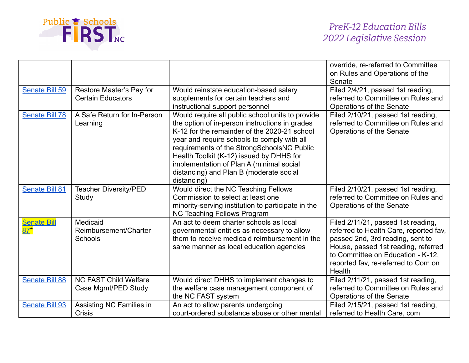

|                              |                                                      |                                                                                                                                                                                                                                                                                                                                                                                                   | override, re-referred to Committee<br>on Rules and Operations of the<br>Senate                                                                                                                                                                |
|------------------------------|------------------------------------------------------|---------------------------------------------------------------------------------------------------------------------------------------------------------------------------------------------------------------------------------------------------------------------------------------------------------------------------------------------------------------------------------------------------|-----------------------------------------------------------------------------------------------------------------------------------------------------------------------------------------------------------------------------------------------|
| Senate Bill 59               | Restore Master's Pay for<br><b>Certain Educators</b> | Would reinstate education-based salary<br>supplements for certain teachers and<br>instructional support personnel                                                                                                                                                                                                                                                                                 | Filed 2/4/21, passed 1st reading,<br>referred to Committee on Rules and<br>Operations of the Senate                                                                                                                                           |
| <b>Senate Bill 78</b>        | A Safe Return for In-Person<br>Learning              | Would require all public school units to provide<br>the option of in-person instructions in grades<br>K-12 for the remainder of the 2020-21 school<br>year and require schools to comply with all<br>requirements of the StrongSchoolsNC Public<br>Health Toolkit (K-12) issued by DHHS for<br>implementation of Plan A (minimal social<br>distancing) and Plan B (moderate social<br>distancing) | Filed 2/10/21, passed 1st reading,<br>referred to Committee on Rules and<br>Operations of the Senate                                                                                                                                          |
| <b>Senate Bill 81</b>        | <b>Teacher Diversity/PED</b><br>Study                | Would direct the NC Teaching Fellows<br>Commission to select at least one<br>minority-serving institution to participate in the<br><b>NC Teaching Fellows Program</b>                                                                                                                                                                                                                             | Filed 2/10/21, passed 1st reading,<br>referred to Committee on Rules and<br>Operations of the Senate                                                                                                                                          |
| <b>Senate Bill</b><br>$87^*$ | Medicaid<br>Reimbursement/Charter<br><b>Schools</b>  | An act to deem charter schools as local<br>governmental entities as necessary to allow<br>them to receive medicaid reimbursement in the<br>same manner as local education agencies                                                                                                                                                                                                                | Filed 2/11/21, passed 1st reading,<br>referred to Health Care, reported fav,<br>passed 2nd, 3rd reading, sent to<br>House, passed 1st reading, referred<br>to Committee on Education - K-12,<br>reported fav, re-referred to Com on<br>Health |
| <b>Senate Bill 88</b>        | <b>NC FAST Child Welfare</b><br>Case Mgmt/PED Study  | Would direct DHHS to implement changes to<br>the welfare case management component of<br>the NC FAST system                                                                                                                                                                                                                                                                                       | Filed 2/11/21, passed 1st reading,<br>referred to Committee on Rules and<br>Operations of the Senate                                                                                                                                          |
| <b>Senate Bill 93</b>        | Assisting NC Families in<br>Crisis                   | An act to allow parents undergoing<br>court-ordered substance abuse or other mental                                                                                                                                                                                                                                                                                                               | Filed 2/15/21, passed 1st reading,<br>referred to Health Care, com                                                                                                                                                                            |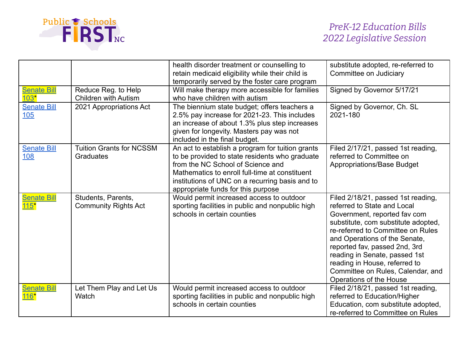

|                                       |                                                     | health disorder treatment or counselling to<br>retain medicaid eligibility while their child is<br>temporarily served by the foster care program                                                                                                                                   | substitute adopted, re-referred to<br>Committee on Judiciary                                                                                                                                                                                                                                                                                                                      |
|---------------------------------------|-----------------------------------------------------|------------------------------------------------------------------------------------------------------------------------------------------------------------------------------------------------------------------------------------------------------------------------------------|-----------------------------------------------------------------------------------------------------------------------------------------------------------------------------------------------------------------------------------------------------------------------------------------------------------------------------------------------------------------------------------|
| <b>Senate Bill</b><br>$103*$          | Reduce Reg. to Help<br><b>Children with Autism</b>  | Will make therapy more accessible for families<br>who have children with autism                                                                                                                                                                                                    | Signed by Governor 5/17/21                                                                                                                                                                                                                                                                                                                                                        |
| <b>Senate Bill</b><br>105             | 2021 Appropriations Act                             | The biennium state budget; offers teachers a<br>2.5% pay increase for 2021-23. This includes<br>an increase of about 1.3% plus step increases<br>given for longevity. Masters pay was not<br>included in the final budget.                                                         | Signed by Governor, Ch. SL<br>2021-180                                                                                                                                                                                                                                                                                                                                            |
| <b>Senate Bill</b><br>108             | <b>Tuition Grants for NCSSM</b><br><b>Graduates</b> | An act to establish a program for tuition grants<br>to be provided to state residents who graduate<br>from the NC School of Science and<br>Mathematics to enroll full-time at constituent<br>institutions of UNC on a recurring basis and to<br>appropriate funds for this purpose | Filed 2/17/21, passed 1st reading,<br>referred to Committee on<br>Appropriations/Base Budget                                                                                                                                                                                                                                                                                      |
| <b>Senate Bill</b><br>15 <sup>1</sup> | Students, Parents,<br><b>Community Rights Act</b>   | Would permit increased access to outdoor<br>sporting facilities in public and nonpublic high<br>schools in certain counties                                                                                                                                                        | Filed 2/18/21, passed 1st reading,<br>referred to State and Local<br>Government, reported fav com<br>substitute, com substitute adopted,<br>re-referred to Committee on Rules<br>and Operations of the Senate,<br>reported fav, passed 2nd, 3rd<br>reading in Senate, passed 1st<br>reading in House, referred to<br>Committee on Rules, Calendar, and<br>Operations of the House |
| <b>Senate Bill</b><br>$116*$          | Let Them Play and Let Us<br>Watch                   | Would permit increased access to outdoor<br>sporting facilities in public and nonpublic high<br>schools in certain counties                                                                                                                                                        | Filed 2/18/21, passed 1st reading,<br>referred to Education/Higher<br>Education, com substitute adopted,<br>re-referred to Committee on Rules                                                                                                                                                                                                                                     |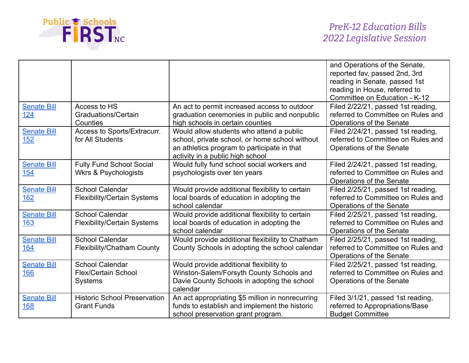

|                    |                                     |                                                  | and Operations of the Senate,      |
|--------------------|-------------------------------------|--------------------------------------------------|------------------------------------|
|                    |                                     |                                                  | reported fav, passed 2nd, 3rd      |
|                    |                                     |                                                  | reading in Senate, passed 1st      |
|                    |                                     |                                                  | reading in House, referred to      |
|                    |                                     |                                                  | Committee on Education - K-12      |
| <b>Senate Bill</b> | Access to HS                        | An act to permit increased access to outdoor     | Filed 2/22/21, passed 1st reading, |
| 124                | Graduations/Certain                 | graduation ceremonies in public and nonpublic    | referred to Committee on Rules and |
|                    | Counties                            | high schools in certain counties                 | Operations of the Senate           |
| <b>Senate Bill</b> | Access to Sports/Extracurr.         | Would allow students who attend a public         | Filed 2/24/21, passed 1st reading, |
| 152                | for All Students                    | school, private school, or home school without   | referred to Committee on Rules and |
|                    |                                     | an athletics program to participate in that      | Operations of the Senate           |
|                    |                                     | activity in a public high school                 |                                    |
| <b>Senate Bill</b> | <b>Fully Fund School Social</b>     | Would fully fund school social workers and       | Filed 2/24/21, passed 1st reading, |
| <b>154</b>         | <b>Wkrs &amp; Psychologists</b>     | psychologists over ten years                     | referred to Committee on Rules and |
|                    |                                     |                                                  | Operations of the Senate           |
| <b>Senate Bill</b> | <b>School Calendar</b>              | Would provide additional flexibility to certain  | Filed 2/25/21, passed 1st reading, |
| 162                | <b>Flexibility/Certain Systems</b>  | local boards of education in adopting the        | referred to Committee on Rules and |
|                    |                                     | school calendar                                  | Operations of the Senate           |
| <b>Senate Bill</b> | <b>School Calendar</b>              | Would provide additional flexibility to certain  | Filed 2/25/21, passed 1st reading, |
| 163                | <b>Flexibility/Certain Systems</b>  | local boards of education in adopting the        | referred to Committee on Rules and |
|                    |                                     | school calendar                                  | Operations of the Senate           |
| <b>Senate Bill</b> | <b>School Calendar</b>              | Would provide additional flexibility to Chatham  | Filed 2/25/21, passed 1st reading, |
| 164                | Flexibility/Chatham County          | County Schools in adopting the school calendar   | referred to Committee on Rules and |
|                    |                                     |                                                  | Operations of the Senate           |
| <b>Senate Bill</b> | <b>School Calendar</b>              | Would provide additional flexibility to          | Filed 2/25/21, passed 1st reading, |
| 166                | <b>Flex/Certain School</b>          | Winston-Salem/Forsyth County Schools and         | referred to Committee on Rules and |
|                    | <b>Systems</b>                      | Davie County Schools in adopting the school      | Operations of the Senate           |
|                    |                                     | calendar                                         |                                    |
| <b>Senate Bill</b> | <b>Historic School Preservation</b> | An act appropriating \$5 million in nonrecurring | Filed 3/1/21, passed 1st reading,  |
| <b>168</b>         | <b>Grant Funds</b>                  | funds to establish and implement the historic    | referred to Appropriations/Base    |
|                    |                                     | school preservation grant program.               | <b>Budget Committee</b>            |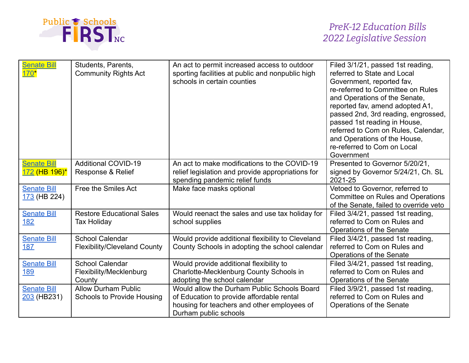

| <b>Senate Bill</b><br>$170*$        | Students, Parents,<br><b>Community Rights Act</b>               | An act to permit increased access to outdoor<br>sporting facilities at public and nonpublic high<br>schools in certain counties                                  | Filed 3/1/21, passed 1st reading,<br>referred to State and Local<br>Government, reported fav,<br>re-referred to Committee on Rules<br>and Operations of the Senate,<br>reported fav, amend adopted A1,<br>passed 2nd, 3rd reading, engrossed,<br>passed 1st reading in House,<br>referred to Com on Rules, Calendar,<br>and Operations of the House,<br>re-referred to Com on Local<br>Government |
|-------------------------------------|-----------------------------------------------------------------|------------------------------------------------------------------------------------------------------------------------------------------------------------------|---------------------------------------------------------------------------------------------------------------------------------------------------------------------------------------------------------------------------------------------------------------------------------------------------------------------------------------------------------------------------------------------------|
| <b>Senate Bill</b><br>172 (HB 196)* | <b>Additional COVID-19</b><br>Response & Relief                 | An act to make modifications to the COVID-19<br>relief legislation and provide appropriations for<br>spending pandemic relief funds                              | Presented to Governor 5/20/21,<br>signed by Governor 5/24/21, Ch. SL<br>2021-25                                                                                                                                                                                                                                                                                                                   |
| <b>Senate Bill</b><br>173 (HB 224)  | Free the Smiles Act                                             | Make face masks optional                                                                                                                                         | Vetoed to Governor, referred to<br>Committee on Rules and Operations<br>of the Senate, failed to override veto                                                                                                                                                                                                                                                                                    |
| <b>Senate Bill</b><br>182           | <b>Restore Educational Sales</b><br><b>Tax Holiday</b>          | Would reenact the sales and use tax holiday for<br>school supplies                                                                                               | Filed 3/4/21, passed 1st reading,<br>referred to Com on Rules and<br>Operations of the Senate                                                                                                                                                                                                                                                                                                     |
| <b>Senate Bill</b><br>187           | <b>School Calendar</b><br><b>Flexibility/Cleveland County</b>   | Would provide additional flexibility to Cleveland<br>County Schools in adopting the school calendar                                                              | Filed 3/4/21, passed 1st reading,<br>referred to Com on Rules and<br>Operations of the Senate                                                                                                                                                                                                                                                                                                     |
| <b>Senate Bill</b><br>189           | <b>School Calendar</b><br>Flexibility/Mecklenburg<br>County     | Would provide additional flexibility to<br>Charlotte-Mecklenburg County Schools in<br>adopting the school calendar                                               | Filed 3/4/21, passed 1st reading,<br>referred to Com on Rules and<br>Operations of the Senate                                                                                                                                                                                                                                                                                                     |
| <b>Senate Bill</b><br>$203$ (HB231) | <b>Allow Durham Public</b><br><b>Schools to Provide Housing</b> | Would allow the Durham Public Schools Board<br>of Education to provide affordable rental<br>housing for teachers and other employees of<br>Durham public schools | Filed 3/9/21, passed 1st reading,<br>referred to Com on Rules and<br>Operations of the Senate                                                                                                                                                                                                                                                                                                     |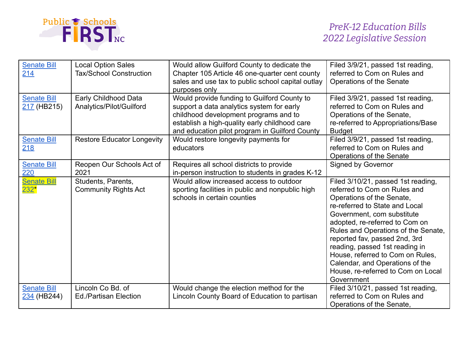

| <b>Senate Bill</b><br>214         | <b>Local Option Sales</b><br><b>Tax/School Construction</b> | Would allow Guilford County to dedicate the<br>Chapter 105 Article 46 one-quarter cent county<br>sales and use tax to public school capital outlay<br>purposes only                                                                  | Filed 3/9/21, passed 1st reading,<br>referred to Com on Rules and<br>Operations of the Senate                                                                                                                                                                                                                                                                                                                                          |
|-----------------------------------|-------------------------------------------------------------|--------------------------------------------------------------------------------------------------------------------------------------------------------------------------------------------------------------------------------------|----------------------------------------------------------------------------------------------------------------------------------------------------------------------------------------------------------------------------------------------------------------------------------------------------------------------------------------------------------------------------------------------------------------------------------------|
| <b>Senate Bill</b><br>217 (HB215) | Early Childhood Data<br>Analytics/Pilot/Guilford            | Would provide funding to Guilford County to<br>support a data analytics system for early<br>childhood development programs and to<br>establish a high-quality early childhood care<br>and education pilot program in Guilford County | Filed 3/9/21, passed 1st reading,<br>referred to Com on Rules and<br>Operations of the Senate,<br>re-referred to Appropriations/Base<br><b>Budget</b>                                                                                                                                                                                                                                                                                  |
| <b>Senate Bill</b><br>218         | <b>Restore Educator Longevity</b>                           | Would restore longevity payments for<br>educators                                                                                                                                                                                    | Filed 3/9/21, passed 1st reading,<br>referred to Com on Rules and<br>Operations of the Senate                                                                                                                                                                                                                                                                                                                                          |
| <b>Senate Bill</b><br>220         | Reopen Our Schools Act of<br>2021                           | Requires all school districts to provide<br>in-person instruction to students in grades K-12                                                                                                                                         | <b>Signed by Governor</b>                                                                                                                                                                                                                                                                                                                                                                                                              |
| <b>Senate Bill</b><br>232*        | Students, Parents,<br><b>Community Rights Act</b>           | Would allow increased access to outdoor<br>sporting facilities in public and nonpublic high<br>schools in certain counties                                                                                                           | Filed 3/10/21, passed 1st reading,<br>referred to Com on Rules and<br>Operations of the Senate,<br>re-referred to State and Local<br>Government, com substitute<br>adopted, re-referred to Com on<br>Rules and Operations of the Senate,<br>reported fav, passed 2nd, 3rd<br>reading, passed 1st reading in<br>House, referred to Com on Rules,<br>Calendar, and Operations of the<br>House, re-referred to Com on Local<br>Government |
| <b>Senate Bill</b><br>234 (HB244) | Lincoln Co Bd. of<br><b>Ed./Partisan Election</b>           | Would change the election method for the<br>Lincoln County Board of Education to partisan                                                                                                                                            | Filed 3/10/21, passed 1st reading,<br>referred to Com on Rules and<br>Operations of the Senate,                                                                                                                                                                                                                                                                                                                                        |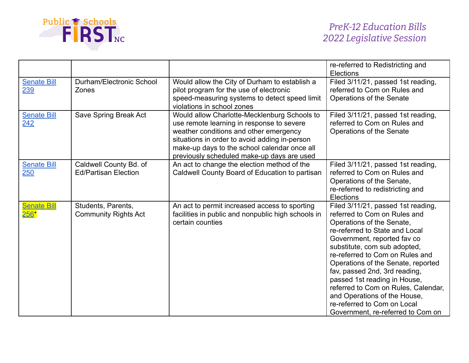

|                                    |                                                       |                                                                                                                                                                                                                                                                                    | re-referred to Redistricting and<br><b>Elections</b>                                                                                                                                                                                                                                                                                                                                                                                                                                  |
|------------------------------------|-------------------------------------------------------|------------------------------------------------------------------------------------------------------------------------------------------------------------------------------------------------------------------------------------------------------------------------------------|---------------------------------------------------------------------------------------------------------------------------------------------------------------------------------------------------------------------------------------------------------------------------------------------------------------------------------------------------------------------------------------------------------------------------------------------------------------------------------------|
| <b>Senate Bill</b><br>239          | Durham/Electronic School<br>Zones                     | Would allow the City of Durham to establish a<br>pilot program for the use of electronic<br>speed-measuring systems to detect speed limit<br>violations in school zones                                                                                                            | Filed 3/11/21, passed 1st reading,<br>referred to Com on Rules and<br>Operations of the Senate                                                                                                                                                                                                                                                                                                                                                                                        |
| <b>Senate Bill</b><br>242          | Save Spring Break Act                                 | Would allow Charlotte-Mecklenburg Schools to<br>use remote learning in response to severe<br>weather conditions and other emergency<br>situations in order to avoid adding in-person<br>make-up days to the school calendar once all<br>previously scheduled make-up days are used | Filed 3/11/21, passed 1st reading,<br>referred to Com on Rules and<br>Operations of the Senate                                                                                                                                                                                                                                                                                                                                                                                        |
| <b>Senate Bill</b><br>250          | Caldwell County Bd. of<br><b>Ed/Partisan Election</b> | An act to change the election method of the<br>Caldwell County Board of Education to partisan                                                                                                                                                                                      | Filed 3/11/21, passed 1st reading,<br>referred to Com on Rules and<br>Operations of the Senate,<br>re-referred to redistricting and<br>Elections                                                                                                                                                                                                                                                                                                                                      |
| <b>Senate Bill</b><br><u> 256*</u> | Students, Parents,<br><b>Community Rights Act</b>     | An act to permit increased access to sporting<br>facilities in public and nonpublic high schools in<br>certain counties                                                                                                                                                            | Filed 3/11/21, passed 1st reading,<br>referred to Com on Rules and<br>Operations of the Senate,<br>re-referred to State and Local<br>Government, reported fav co<br>substitute, com sub adopted,<br>re-referred to Com on Rules and<br>Operations of the Senate, reported<br>fav, passed 2nd, 3rd reading,<br>passed 1st reading in House,<br>referred to Com on Rules, Calendar,<br>and Operations of the House,<br>re-referred to Com on Local<br>Government, re-referred to Com on |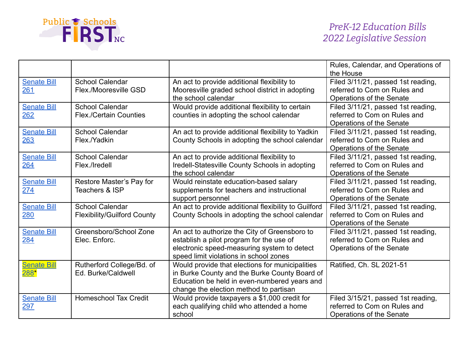

|                                    |                                                              |                                                                                                                                                                                            | Rules, Calendar, and Operations of                                                                          |
|------------------------------------|--------------------------------------------------------------|--------------------------------------------------------------------------------------------------------------------------------------------------------------------------------------------|-------------------------------------------------------------------------------------------------------------|
| <b>Senate Bill</b><br>261          | <b>School Calendar</b><br>Flex./Mooresville GSD              | An act to provide additional flexibility to<br>Mooresville graded school district in adopting<br>the school calendar                                                                       | the House<br>Filed 3/11/21, passed 1st reading,<br>referred to Com on Rules and<br>Operations of the Senate |
| <b>Senate Bill</b><br>262          | <b>School Calendar</b><br><b>Flex./Certain Counties</b>      | Would provide additional flexibility to certain<br>counties in adopting the school calendar                                                                                                | Filed 3/11/21, passed 1st reading,<br>referred to Com on Rules and<br>Operations of the Senate              |
| <b>Senate Bill</b><br>263          | <b>School Calendar</b><br>Flex./Yadkin                       | An act to provide additional flexibility to Yadkin<br>County Schools in adopting the school calendar                                                                                       | Filed 3/11/21, passed 1st reading,<br>referred to Com on Rules and<br>Operations of the Senate              |
| <b>Senate Bill</b><br>264          | <b>School Calendar</b><br>Flex./Iredell                      | An act to provide additional flexibility to<br>Iredell-Statesville County Schools in adopting<br>the school calendar                                                                       | Filed 3/11/21, passed 1st reading,<br>referred to Com on Rules and<br>Operations of the Senate              |
| <b>Senate Bill</b><br>274          | Restore Master's Pay for<br>Teachers & ISP                   | Would reinstate education-based salary<br>supplements for teachers and instructional<br>support personnel                                                                                  | Filed 3/11/21, passed 1st reading,<br>referred to Com on Rules and<br>Operations of the Senate              |
| <b>Senate Bill</b><br>280          | <b>School Calendar</b><br><b>Flexibility/Guilford County</b> | An act to provide additional flexibility to Guilford<br>County Schools in adopting the school calendar                                                                                     | Filed 3/11/21, passed 1st reading,<br>referred to Com on Rules and<br>Operations of the Senate              |
| <b>Senate Bill</b><br>284          | Greensboro/School Zone<br>Elec. Enforc.                      | An act to authorize the City of Greensboro to<br>establish a pilot program for the use of<br>electronic speed-measuring system to detect<br>speed limit violations in school zones         | Filed 3/11/21, passed 1st reading,<br>referred to Com on Rules and<br>Operations of the Senate              |
| <b>Senate Bill</b><br><u> 288*</u> | Rutherford College/Bd. of<br>Ed. Burke/Caldwell              | Would provide that elections for municipalities<br>in Burke County and the Burke County Board of<br>Education be held in even-numbered years and<br>change the election method to partisan | Ratified, Ch. SL 2021-51                                                                                    |
| <b>Senate Bill</b><br>297          | <b>Homeschool Tax Credit</b>                                 | Would provide taxpayers a \$1,000 credit for<br>each qualifying child who attended a home<br>school                                                                                        | Filed 3/15/21, passed 1st reading,<br>referred to Com on Rules and<br>Operations of the Senate              |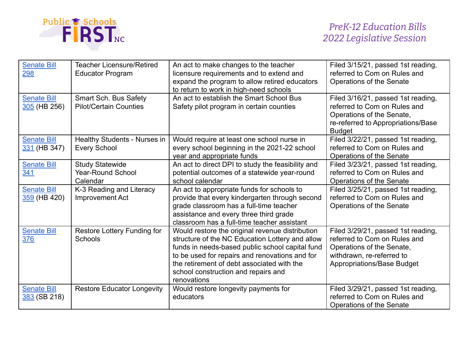

| <b>Senate Bill</b><br>298            | <b>Teacher Licensure/Retired</b><br><b>Educator Program</b>    | An act to make changes to the teacher<br>licensure requirements and to extend and<br>expand the program to allow retired educators<br>to return to work in high-need schools                                                                                                                                | Filed 3/15/21, passed 1st reading,<br>referred to Com on Rules and<br>Operations of the Senate                                                             |
|--------------------------------------|----------------------------------------------------------------|-------------------------------------------------------------------------------------------------------------------------------------------------------------------------------------------------------------------------------------------------------------------------------------------------------------|------------------------------------------------------------------------------------------------------------------------------------------------------------|
| <b>Senate Bill</b><br>$305$ (HB 256) | <b>Smart Sch. Bus Safety</b><br><b>Pilot/Certain Counties</b>  | An act to establish the Smart School Bus<br>Safety pilot program in certain counties                                                                                                                                                                                                                        | Filed 3/16/21, passed 1st reading,<br>referred to Com on Rules and<br>Operations of the Senate,<br>re-referred to Appropriations/Base<br><b>Budget</b>     |
| <b>Senate Bill</b><br>331 (HB 347)   | Healthy Students - Nurses in<br><b>Every School</b>            | Would require at least one school nurse in<br>every school beginning in the 2021-22 school<br>year and appropriate funds                                                                                                                                                                                    | Filed 3/22/21, passed 1st reading,<br>referred to Com on Rules and<br>Operations of the Senate                                                             |
| <b>Senate Bill</b><br>341            | <b>Study Statewide</b><br><b>Year-Round School</b><br>Calendar | An act to direct DPI to study the feasibility and<br>potential outcomes of a statewide year-round<br>school calendar                                                                                                                                                                                        | Filed 3/23/21, passed 1st reading,<br>referred to Com on Rules and<br>Operations of the Senate                                                             |
| <b>Senate Bill</b><br>359 (HB 420)   | K-3 Reading and Literacy<br>Improvement Act                    | An act to appropriate funds for schools to<br>provide that every kindergarten through second<br>grade classroom has a full-time teacher<br>assistance and every three third grade<br>classroom has a full-time teacher assistant                                                                            | Filed 3/25/21, passed 1st reading,<br>referred to Com on Rules and<br>Operations of the Senate                                                             |
| <b>Senate Bill</b><br>376            | Restore Lottery Funding for<br>Schools                         | Would restore the original revenue distribution<br>structure of the NC Education Lottery and allow<br>funds in needs-based public school capital fund<br>to be used for repairs and renovations and for<br>the retirement of debt associated with the<br>school construction and repairs and<br>renovations | Filed 3/29/21, passed 1st reading,<br>referred to Com on Rules and<br>Operations of the Senate,<br>withdrawn, re-referred to<br>Appropriations/Base Budget |
| <b>Senate Bill</b><br>383 (SB 218)   | <b>Restore Educator Longevity</b>                              | Would restore longevity payments for<br>educators                                                                                                                                                                                                                                                           | Filed 3/29/21, passed 1st reading,<br>referred to Com on Rules and<br>Operations of the Senate                                                             |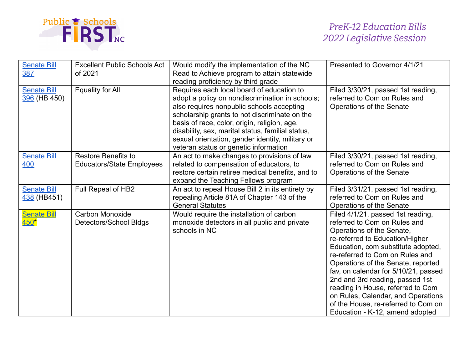

| <b>Senate Bill</b><br>387           | <b>Excellent Public Schools Act</b><br>of 2021                 | Would modify the implementation of the NC<br>Read to Achieve program to attain statewide<br>reading proficiency by third grade                                                                                                                                                                                                                                                               | Presented to Governor 4/1/21                                                                                                                                                                                                                                                                                                                                                                                                                                                     |
|-------------------------------------|----------------------------------------------------------------|----------------------------------------------------------------------------------------------------------------------------------------------------------------------------------------------------------------------------------------------------------------------------------------------------------------------------------------------------------------------------------------------|----------------------------------------------------------------------------------------------------------------------------------------------------------------------------------------------------------------------------------------------------------------------------------------------------------------------------------------------------------------------------------------------------------------------------------------------------------------------------------|
| <b>Senate Bill</b><br>396 (HB 450)  | Equality for All                                               | Requires each local board of education to<br>adopt a policy on nondiscrimination in schools;<br>also requires nonpublic schools accepting<br>scholarship grants to not discriminate on the<br>basis of race, color, origin, religion, age,<br>disability, sex, marital status, familial status,<br>sexual orientation, gender identity, military or<br>veteran status or genetic information | Filed 3/30/21, passed 1st reading,<br>referred to Com on Rules and<br>Operations of the Senate                                                                                                                                                                                                                                                                                                                                                                                   |
| <b>Senate Bill</b><br>400           | <b>Restore Benefits to</b><br><b>Educators/State Employees</b> | An act to make changes to provisions of law<br>related to compensation of educators, to<br>restore certain retiree medical benefits, and to<br>expand the Teaching Fellows program                                                                                                                                                                                                           | Filed 3/30/21, passed 1st reading,<br>referred to Com on Rules and<br>Operations of the Senate                                                                                                                                                                                                                                                                                                                                                                                   |
| <b>Senate Bill</b><br>438 (HB451)   | Full Repeal of HB2                                             | An act to repeal House Bill 2 in its entirety by<br>repealing Article 81A of Chapter 143 of the<br><b>General Statutes</b>                                                                                                                                                                                                                                                                   | Filed 3/31/21, passed 1st reading,<br>referred to Com on Rules and<br>Operations of the Senate                                                                                                                                                                                                                                                                                                                                                                                   |
| <b>Senate Bill</b><br>$450^{\star}$ | Carbon Monoxide<br>Detectors/School Bldgs                      | Would require the installation of carbon<br>monoxide detectors in all public and private<br>schools in NC                                                                                                                                                                                                                                                                                    | Filed 4/1/21, passed 1st reading,<br>referred to Com on Rules and<br>Operations of the Senate,<br>re-referred to Education/Higher<br>Education, com substitute adopted,<br>re-referred to Com on Rules and<br>Operations of the Senate, reported<br>fav, on calendar for 5/10/21, passed<br>2nd and 3rd reading, passed 1st<br>reading in House, referred to Com<br>on Rules, Calendar, and Operations<br>of the House, re-referred to Com on<br>Education - K-12, amend adopted |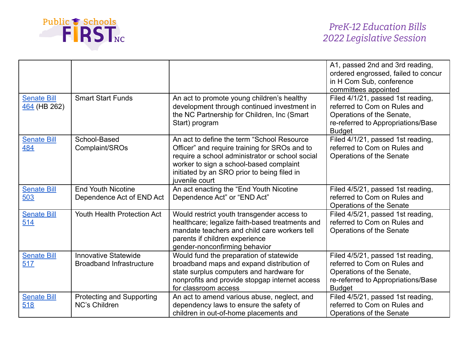

|                                    |                                                                |                                                                                                                                                                                                                                                             | A1, passed 2nd and 3rd reading,<br>ordered engrossed, failed to concur<br>in H Com Sub, conference<br>committees appointed                            |
|------------------------------------|----------------------------------------------------------------|-------------------------------------------------------------------------------------------------------------------------------------------------------------------------------------------------------------------------------------------------------------|-------------------------------------------------------------------------------------------------------------------------------------------------------|
| <b>Senate Bill</b><br>464 (HB 262) | <b>Smart Start Funds</b>                                       | An act to promote young children's healthy<br>development through continued investment in<br>the NC Partnership for Children, Inc (Smart<br>Start) program                                                                                                  | Filed 4/1/21, passed 1st reading,<br>referred to Com on Rules and<br>Operations of the Senate,<br>re-referred to Appropriations/Base<br><b>Budget</b> |
| <b>Senate Bill</b><br>484          | School-Based<br>Complaint/SROs                                 | An act to define the term "School Resource"<br>Officer" and require training for SROs and to<br>require a school administrator or school social<br>worker to sign a school-based complaint<br>initiated by an SRO prior to being filed in<br>juvenile court | Filed 4/1/21, passed 1st reading,<br>referred to Com on Rules and<br>Operations of the Senate                                                         |
| <b>Senate Bill</b><br>503          | <b>End Youth Nicotine</b><br>Dependence Act of END Act         | An act enacting the "End Youth Nicotine<br>Dependence Act" or "END Act"                                                                                                                                                                                     | Filed 4/5/21, passed 1st reading,<br>referred to Com on Rules and<br>Operations of the Senate                                                         |
| <b>Senate Bill</b><br>514          | Youth Health Protection Act                                    | Would restrict youth transgender access to<br>healthcare; legalize faith-based treatments and<br>mandate teachers and child care workers tell<br>parents if children experience<br>gender-nonconfirming behavior                                            | Filed 4/5/21, passed 1st reading,<br>referred to Com on Rules and<br>Operations of the Senate                                                         |
| <b>Senate Bill</b><br>517          | <b>Innovative Statewide</b><br><b>Broadband Infrastructure</b> | Would fund the preparation of statewide<br>broadband maps and expand distribution of<br>state surplus computers and hardware for<br>nonprofits and provide stopgap internet access<br>for classroom access                                                  | Filed 4/5/21, passed 1st reading,<br>referred to Com on Rules and<br>Operations of the Senate,<br>re-referred to Appropriations/Base<br><b>Budget</b> |
| <b>Senate Bill</b><br>518          | Protecting and Supporting<br><b>NC's Children</b>              | An act to amend various abuse, neglect, and<br>dependency laws to ensure the safety of<br>children in out-of-home placements and                                                                                                                            | Filed 4/5/21, passed 1st reading,<br>referred to Com on Rules and<br>Operations of the Senate                                                         |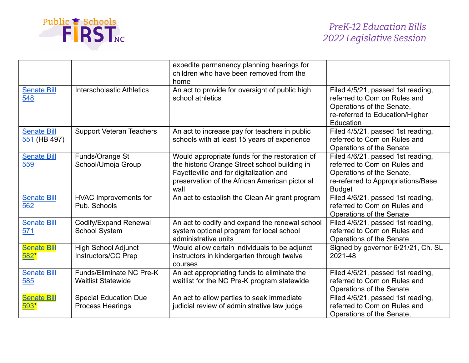

|                                    |                                                         | expedite permanency planning hearings for<br>children who have been removed from the<br>home                                                                                                         |                                                                                                                                                       |
|------------------------------------|---------------------------------------------------------|------------------------------------------------------------------------------------------------------------------------------------------------------------------------------------------------------|-------------------------------------------------------------------------------------------------------------------------------------------------------|
| <b>Senate Bill</b><br>548          | <b>Interscholastic Athletics</b>                        | An act to provide for oversight of public high<br>school athletics                                                                                                                                   | Filed 4/5/21, passed 1st reading,<br>referred to Com on Rules and<br>Operations of the Senate,<br>re-referred to Education/Higher<br>Education        |
| <b>Senate Bill</b><br>551 (HB 497) | <b>Support Veteran Teachers</b>                         | An act to increase pay for teachers in public<br>schools with at least 15 years of experience                                                                                                        | Filed 4/5/21, passed 1st reading,<br>referred to Com on Rules and<br>Operations of the Senate                                                         |
| <b>Senate Bill</b><br>559          | Funds/Orange St<br>School/Umoja Group                   | Would appropriate funds for the restoration of<br>the historic Orange Street school building in<br>Fayetteville and for digitalization and<br>preservation of the African American pictorial<br>wall | Filed 4/6/21, passed 1st reading,<br>referred to Com on Rules and<br>Operations of the Senate,<br>re-referred to Appropriations/Base<br><b>Budget</b> |
| <b>Senate Bill</b><br>562          | <b>HVAC Improvements for</b><br>Pub. Schools            | An act to establish the Clean Air grant program                                                                                                                                                      | Filed 4/6/21, passed 1st reading,<br>referred to Com on Rules and<br>Operations of the Senate                                                         |
| <b>Senate Bill</b><br>571          | <b>Codify/Expand Renewal</b><br><b>School System</b>    | An act to codify and expand the renewal school<br>system optional program for local school<br>administrative units                                                                                   | Filed 4/6/21, passed 1st reading,<br>referred to Com on Rules and<br>Operations of the Senate                                                         |
| <b>Senate Bill</b><br>$582*$       | <b>High School Adjunct</b><br>Instructors/CC Prep       | Would allow certain individuals to be adjunct<br>instructors in kindergarten through twelve<br>courses                                                                                               | Signed by governor 6/21/21, Ch. SL<br>2021-48                                                                                                         |
| <b>Senate Bill</b><br>585          | Funds/Eliminate NC Pre-K<br><b>Waitlist Statewide</b>   | An act appropriating funds to eliminate the<br>waitlist for the NC Pre-K program statewide                                                                                                           | Filed 4/6/21, passed 1st reading,<br>referred to Com on Rules and<br>Operations of the Senate                                                         |
| <b>Senate Bill</b><br>$593*$       | <b>Special Education Due</b><br><b>Process Hearings</b> | An act to allow parties to seek immediate<br>judicial review of administrative law judge                                                                                                             | Filed 4/6/21, passed 1st reading,<br>referred to Com on Rules and<br>Operations of the Senate,                                                        |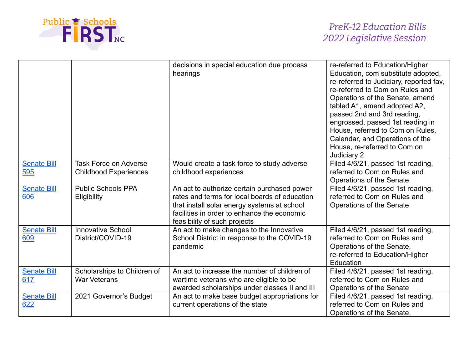

|                           |                                                              | decisions in special education due process<br>hearings                                                                                                                                                                     | re-referred to Education/Higher<br>Education, com substitute adopted,<br>re-referred to Judiciary, reported fav,<br>re-referred to Com on Rules and<br>Operations of the Senate, amend<br>tabled A1, amend adopted A2,<br>passed 2nd and 3rd reading,<br>engrossed, passed 1st reading in<br>House, referred to Com on Rules,<br>Calendar, and Operations of the<br>House, re-referred to Com on<br>Judiciary 2 |
|---------------------------|--------------------------------------------------------------|----------------------------------------------------------------------------------------------------------------------------------------------------------------------------------------------------------------------------|-----------------------------------------------------------------------------------------------------------------------------------------------------------------------------------------------------------------------------------------------------------------------------------------------------------------------------------------------------------------------------------------------------------------|
| <b>Senate Bill</b><br>595 | <b>Task Force on Adverse</b><br><b>Childhood Experiences</b> | Would create a task force to study adverse<br>childhood experiences                                                                                                                                                        | Filed 4/6/21, passed 1st reading,<br>referred to Com on Rules and<br>Operations of the Senate                                                                                                                                                                                                                                                                                                                   |
| <b>Senate Bill</b><br>606 | <b>Public Schools PPA</b><br>Eligibility                     | An act to authorize certain purchased power<br>rates and terms for local boards of education<br>that install solar energy systems at school<br>facilities in order to enhance the economic<br>feasibility of such projects | Filed 4/6/21, passed 1st reading,<br>referred to Com on Rules and<br>Operations of the Senate                                                                                                                                                                                                                                                                                                                   |
| <b>Senate Bill</b><br>609 | <b>Innovative School</b><br>District/COVID-19                | An act to make changes to the Innovative<br>School District in response to the COVID-19<br>pandemic                                                                                                                        | Filed 4/6/21, passed 1st reading,<br>referred to Com on Rules and<br>Operations of the Senate,<br>re-referred to Education/Higher<br>Education                                                                                                                                                                                                                                                                  |
| <b>Senate Bill</b><br>617 | Scholarships to Children of<br><b>War Veterans</b>           | An act to increase the number of children of<br>wartime veterans who are eligible to be<br>awarded scholarships under classes II and III                                                                                   | Filed 4/6/21, passed 1st reading,<br>referred to Com on Rules and<br>Operations of the Senate                                                                                                                                                                                                                                                                                                                   |
| <b>Senate Bill</b><br>622 | 2021 Governor's Budget                                       | An act to make base budget appropriations for<br>current operations of the state                                                                                                                                           | Filed 4/6/21, passed 1st reading,<br>referred to Com on Rules and<br>Operations of the Senate,                                                                                                                                                                                                                                                                                                                  |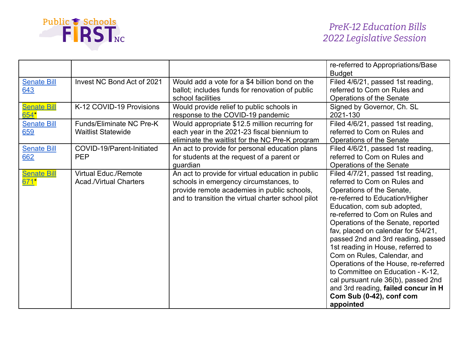

|                            |                                                              |                                                                                                                                                                                                  | re-referred to Appropriations/Base<br><b>Budget</b>                                                                                                                                                                                                                                                                                                                                                                                                                                                                                                                                            |
|----------------------------|--------------------------------------------------------------|--------------------------------------------------------------------------------------------------------------------------------------------------------------------------------------------------|------------------------------------------------------------------------------------------------------------------------------------------------------------------------------------------------------------------------------------------------------------------------------------------------------------------------------------------------------------------------------------------------------------------------------------------------------------------------------------------------------------------------------------------------------------------------------------------------|
| <b>Senate Bill</b><br>643  | Invest NC Bond Act of 2021                                   | Would add a vote for a \$4 billion bond on the<br>ballot; includes funds for renovation of public<br>school facilities                                                                           | Filed 4/6/21, passed 1st reading,<br>referred to Com on Rules and<br>Operations of the Senate                                                                                                                                                                                                                                                                                                                                                                                                                                                                                                  |
| <b>Senate Bill</b><br>654" | K-12 COVID-19 Provisions                                     | Would provide relief to public schools in<br>response to the COVID-19 pandemic                                                                                                                   | Signed by Governor, Ch. SL<br>2021-130                                                                                                                                                                                                                                                                                                                                                                                                                                                                                                                                                         |
| <b>Senate Bill</b><br>659  | <b>Funds/Eliminate NC Pre-K</b><br><b>Waitlist Statewide</b> | Would appropriate \$12.5 million recurring for<br>each year in the 2021-23 fiscal biennium to<br>eliminate the waitlist for the NC Pre-K program                                                 | Filed 4/6/21, passed 1st reading,<br>referred to Com on Rules and<br>Operations of the Senate                                                                                                                                                                                                                                                                                                                                                                                                                                                                                                  |
| <b>Senate Bill</b><br>662  | COVID-19/Parent-Initiated<br><b>PEP</b>                      | An act to provide for personal education plans<br>for students at the request of a parent or<br>guardian                                                                                         | Filed 4/6/21, passed 1st reading,<br>referred to Com on Rules and<br>Operations of the Senate                                                                                                                                                                                                                                                                                                                                                                                                                                                                                                  |
| <b>Senate Bill</b><br>671* | <b>Virtual Educ./Remote</b><br><b>Acad./Virtual Charters</b> | An act to provide for virtual education in public<br>schools in emergency circumstances, to<br>provide remote academies in public schools,<br>and to transition the virtual charter school pilot | Filed 4/7/21, passed 1st reading,<br>referred to Com on Rules and<br>Operations of the Senate,<br>re-referred to Education/Higher<br>Education, com sub adopted,<br>re-referred to Com on Rules and<br>Operations of the Senate, reported<br>fav, placed on calendar for 5/4/21,<br>passed 2nd and 3rd reading, passed<br>1st reading in House, referred to<br>Com on Rules, Calendar, and<br>Operations of the House, re-referred<br>to Committee on Education - K-12,<br>cal pursuant rule 36(b), passed 2nd<br>and 3rd reading, failed concur in H<br>Com Sub (0-42), conf com<br>appointed |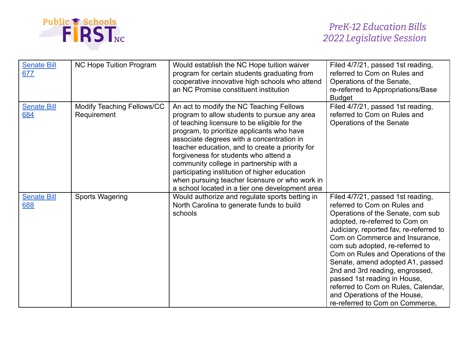

| <b>Senate Bill</b><br>677 | NC Hope Tuition Program                   | Would establish the NC Hope tuition waiver<br>program for certain students graduating from<br>cooperative innovative high schools who attend<br>an NC Promise constituent institution                                                                                                                                                                                                                                                                                                                                            | Filed 4/7/21, passed 1st reading,<br>referred to Com on Rules and<br>Operations of the Senate,<br>re-referred to Appropriations/Base<br><b>Budget</b>                                                                                                                                                                                                                                                                                                                                                           |
|---------------------------|-------------------------------------------|----------------------------------------------------------------------------------------------------------------------------------------------------------------------------------------------------------------------------------------------------------------------------------------------------------------------------------------------------------------------------------------------------------------------------------------------------------------------------------------------------------------------------------|-----------------------------------------------------------------------------------------------------------------------------------------------------------------------------------------------------------------------------------------------------------------------------------------------------------------------------------------------------------------------------------------------------------------------------------------------------------------------------------------------------------------|
| <b>Senate Bill</b><br>684 | Modify Teaching Fellows/CC<br>Requirement | An act to modify the NC Teaching Fellows<br>program to allow students to pursue any area<br>of teaching licensure to be eligible for the<br>program, to prioritize applicants who have<br>associate degrees with a concentration in<br>teacher education, and to create a priority for<br>forgiveness for students who attend a<br>community college in partnership with a<br>participating institution of higher education<br>when pursuing teacher licensure or who work in<br>a school located in a tier one development area | Filed 4/7/21, passed 1st reading,<br>referred to Com on Rules and<br>Operations of the Senate                                                                                                                                                                                                                                                                                                                                                                                                                   |
| <b>Senate Bill</b><br>688 | Sports Wagering                           | Would authorize and regulate sports betting in<br>North Carolina to generate funds to build<br>schools                                                                                                                                                                                                                                                                                                                                                                                                                           | Filed 4/7/21, passed 1st reading,<br>referred to Com on Rules and<br>Operations of the Senate, com sub<br>adopted, re-referred to Com on<br>Judiciary, reported fav, re-referred to<br>Com on Commerce and Insurance,<br>com sub adopted, re-referred to<br>Com on Rules and Operations of the<br>Senate, amend adopted A1, passed<br>2nd and 3rd reading, engrossed,<br>passed 1st reading in House,<br>referred to Com on Rules, Calendar,<br>and Operations of the House,<br>re-referred to Com on Commerce. |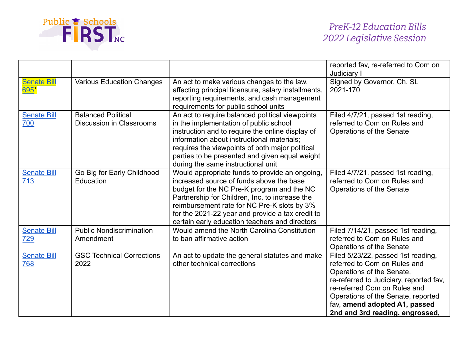

|                                  |                                                              |                                                                                                                                                                                                                                                                                                                                                 | reported fav, re-referred to Com on<br>Judiciary I                                                                                                                                                                                                                                   |
|----------------------------------|--------------------------------------------------------------|-------------------------------------------------------------------------------------------------------------------------------------------------------------------------------------------------------------------------------------------------------------------------------------------------------------------------------------------------|--------------------------------------------------------------------------------------------------------------------------------------------------------------------------------------------------------------------------------------------------------------------------------------|
| <b>Senate Bill</b><br>695*       | <b>Various Education Changes</b>                             | An act to make various changes to the law,<br>affecting principal licensure, salary installments,<br>reporting requirements, and cash management<br>requirements for public school units                                                                                                                                                        | Signed by Governor, Ch. SL<br>2021-170                                                                                                                                                                                                                                               |
| <b>Senate Bill</b><br>700        | <b>Balanced Political</b><br><b>Discussion in Classrooms</b> | An act to require balanced political viewpoints<br>in the implementation of public school<br>instruction and to require the online display of<br>information about instructional materials;<br>requires the viewpoints of both major political<br>parties to be presented and given equal weight<br>during the same instructional unit          | Filed 4/7/21, passed 1st reading,<br>referred to Com on Rules and<br>Operations of the Senate                                                                                                                                                                                        |
| <b>Senate Bill</b><br>713        | Go Big for Early Childhood<br>Education                      | Would appropriate funds to provide an ongoing,<br>increased source of funds above the base<br>budget for the NC Pre-K program and the NC<br>Partnership for Children, Inc, to increase the<br>reimbursement rate for NC Pre-K slots by 3%<br>for the 2021-22 year and provide a tax credit to<br>certain early education teachers and directors | Filed 4/7/21, passed 1st reading,<br>referred to Com on Rules and<br>Operations of the Senate                                                                                                                                                                                        |
| <b>Senate Bill</b><br>729        | <b>Public Nondiscrimination</b><br>Amendment                 | Would amend the North Carolina Constitution<br>to ban affirmative action                                                                                                                                                                                                                                                                        | Filed 7/14/21, passed 1st reading,<br>referred to Com on Rules and<br>Operations of the Senate                                                                                                                                                                                       |
| <b>Senate Bill</b><br><u>768</u> | <b>GSC Technical Corrections</b><br>2022                     | An act to update the general statutes and make<br>other technical corrections                                                                                                                                                                                                                                                                   | Filed 5/23/22, passed 1st reading,<br>referred to Com on Rules and<br>Operations of the Senate,<br>re-referred to Judiciary, reported fav,<br>re-referred Com on Rules and<br>Operations of the Senate, reported<br>fav, amend adopted A1, passed<br>2nd and 3rd reading, engrossed, |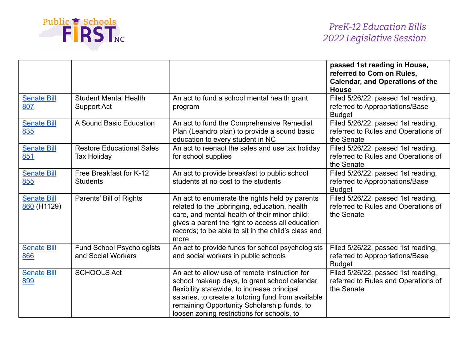

|                                   |                                                        |                                                                                                                                                                                                                                                                                                  | passed 1st reading in House,<br>referred to Com on Rules,<br><b>Calendar, and Operations of the</b><br><b>House</b> |
|-----------------------------------|--------------------------------------------------------|--------------------------------------------------------------------------------------------------------------------------------------------------------------------------------------------------------------------------------------------------------------------------------------------------|---------------------------------------------------------------------------------------------------------------------|
| <b>Senate Bill</b><br>807         | <b>Student Mental Health</b><br>Support Act            | An act to fund a school mental health grant<br>program                                                                                                                                                                                                                                           | Filed 5/26/22, passed 1st reading,<br>referred to Appropriations/Base<br><b>Budget</b>                              |
| <b>Senate Bill</b><br>835         | A Sound Basic Education                                | An act to fund the Comprehensive Remedial<br>Plan (Leandro plan) to provide a sound basic<br>education to every student in NC                                                                                                                                                                    | Filed 5/26/22, passed 1st reading,<br>referred to Rules and Operations of<br>the Senate                             |
| <b>Senate Bill</b><br>851         | <b>Restore Educational Sales</b><br><b>Tax Holiday</b> | An act to reenact the sales and use tax holiday<br>for school supplies                                                                                                                                                                                                                           | Filed 5/26/22, passed 1st reading,<br>referred to Rules and Operations of<br>the Senate                             |
| <b>Senate Bill</b><br>855         | Free Breakfast for K-12<br><b>Students</b>             | An act to provide breakfast to public school<br>students at no cost to the students                                                                                                                                                                                                              | Filed 5/26/22, passed 1st reading,<br>referred to Appropriations/Base<br><b>Budget</b>                              |
| <b>Senate Bill</b><br>860 (H1129) | Parents' Bill of Rights                                | An act to enumerate the rights held by parents<br>related to the upbringing, education, health<br>care, and mental health of their minor child;<br>gives a parent the right to access all education<br>records; to be able to sit in the child's class and<br>more                               | Filed 5/26/22, passed 1st reading,<br>referred to Rules and Operations of<br>the Senate                             |
| <b>Senate Bill</b><br>866         | <b>Fund School Psychologists</b><br>and Social Workers | An act to provide funds for school psychologists<br>and social workers in public schools                                                                                                                                                                                                         | Filed 5/26/22, passed 1st reading,<br>referred to Appropriations/Base<br><b>Budget</b>                              |
| <b>Senate Bill</b><br>899         | <b>SCHOOLS Act</b>                                     | An act to allow use of remote instruction for<br>school makeup days, to grant school calendar<br>flexibility statewide, to increase principal<br>salaries, to create a tutoring fund from available<br>remaining Opportunity Scholarship funds, to<br>loosen zoning restrictions for schools, to | Filed 5/26/22, passed 1st reading,<br>referred to Rules and Operations of<br>the Senate                             |